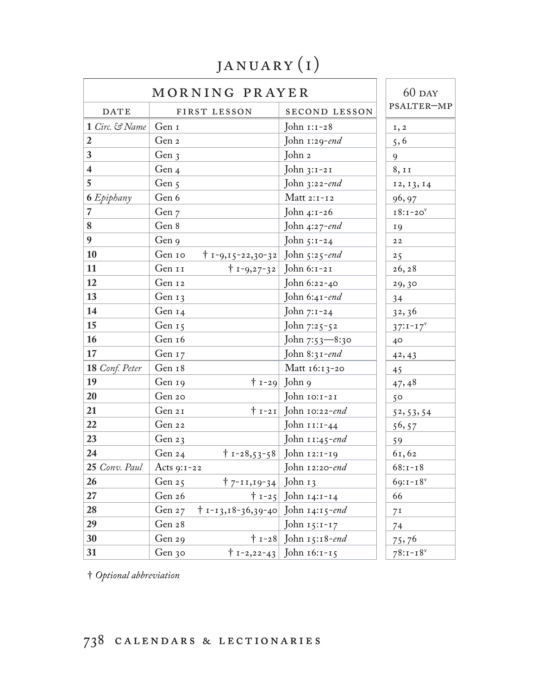## january (i)

| MORNING PRAYER          |                                             | $60$ DAY                         |                 |
|-------------------------|---------------------------------------------|----------------------------------|-----------------|
| <b>DATE</b>             | FIRST LESSON                                | <b>SECOND LESSON</b>             | PSALTER-MP      |
| 1 Circ. & Name          | Gen 1                                       | John 1:1-28                      | I, 2            |
| $\overline{2}$          | Gen 2                                       | John 1:29-end                    | 5, 6            |
| $\mathbf{3}$            | Gen $3$                                     | John 2                           | 9               |
| $\overline{\mathbf{4}}$ | Gen 4                                       | John $3:1-21$                    | 8, 11           |
| $5\overline{)}$         | Gen 5                                       | John $3:22$ -end                 | 12, 13, 14      |
| <b>6</b> Epiphany       | Gen 6                                       | Matt $2:1-12$                    | 96, 97          |
| $\overline{\mathbf{z}}$ | Gen 7                                       | John 4:1-26                      | $18:1-20v$      |
| $\boldsymbol{8}$        | Gen 8                                       | John 4:27-end                    | <b>19</b>       |
| 9                       | Gen 9                                       | John 5:1-24                      | $2\,2$          |
| <b>10</b>               | Gen 10<br>$\uparrow$ 1-9,15-22,30-32        | John $5:25$ -end                 | 25              |
| $\vert$ 11              | Gen 11<br>$\uparrow$ 1-9,27-32              | John 6:1-21                      | 26, 28          |
| 12                      | Gen 12                                      | John 6:22-40                     | 29,30           |
| <b>13</b>               | Gen $13$                                    | John 6:41-end                    | 34              |
| $\vert$ 14              | Gen 14                                      | John 7:1-24                      | 32, 36          |
| 15                      | Gen 15                                      | John 7:25-52                     | $37:1 - 17^V$   |
| <b>16</b>               | Gen 16                                      | John 7:53—8:30                   | 40              |
| <b>17</b>               | Gen 17                                      | John 8:31-end                    | 42, 43          |
| 18 Conf. Peter          | Gen 18                                      | Matt $16:13-20$                  | 45              |
| 19                      | Gen 19                                      | $\pm$ 1-29 John 9                | 47,48           |
| 20                      | Gen 20                                      | John 10:1-21                     | 50              |
| 21                      | Gen 21                                      | $\mid$ 1-21 John 10:22-end       | 52, 53, 54      |
| 22                      | Gen 22                                      | John 11:1-44                     | 56, 57          |
| 23                      | Gen $23$                                    | John $11:45$ -end                | 59              |
| 24                      | Gen 24<br>$\dagger$ 1-28,53-58              | John 12:1-19                     | 61,62           |
| 25 Conv. Paul           | Acts 9:1-22                                 | John $12:20$ -end                | $68:1 - 18$     |
| 26                      | Gen 25<br>$\uparrow$ 7-11,19-34 John 13     |                                  | $69:1 - 18^{v}$ |
| $27\,$                  | Gen 26                                      | † 1-25 John 14:1-14              | 66              |
| 28                      | † 1-13,18-36,39-40 John 14:15-end<br>Gen 27 |                                  | 7 <sup>I</sup>  |
| 29                      | Gen 28                                      | John 15:1-17                     | 74              |
| 30                      | Gen 29                                      | † 1-28 John 15:18- <i>end</i>    | 75,76           |
| 31                      | Gen 30                                      | $\dagger$ 1-2,22-43 John 16:1-15 | $78:1 - 18$     |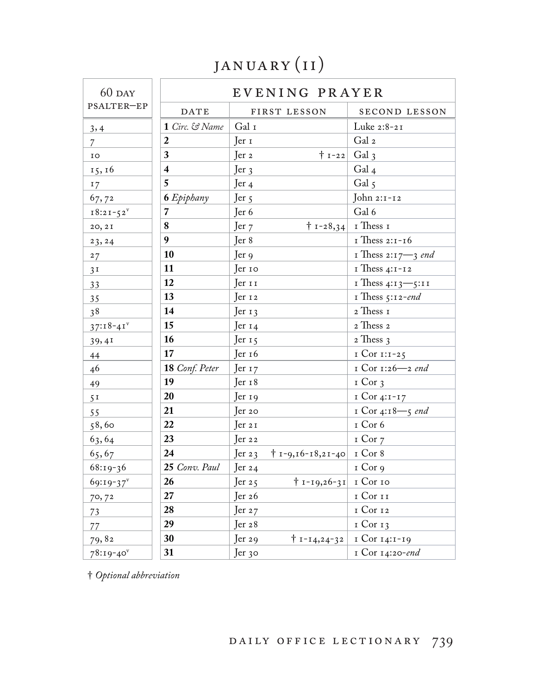# JANUARY (II)

| $60$ DAY       |                         | EVENING PRAYER                          |                          |
|----------------|-------------------------|-----------------------------------------|--------------------------|
| PSALTER-EP     | <b>DATE</b>             | FIRST LESSON                            | SECOND LESSON            |
| 3,4            | 1 Circ. & Name          | Gal $\scriptstyle\rm I$                 | Luke 2:8-21              |
| $\overline{7}$ | $\boldsymbol{2}$        | Jer <sub>1</sub>                        | Gal 2                    |
| IO             | 3                       | $\mid$ I-22<br>$\text{Jer } 2$          | Gal $3$                  |
| 15, 16         | $\overline{\mathbf{4}}$ | Jer <sub>3</sub>                        | Gal <sub>4</sub>         |
| 17             | 5                       | Jer <sub>4</sub>                        | Gal $5$                  |
| 67,72          | <b>6</b> Epiphany       | Jer 5                                   | John 2:1-12              |
| $18:21 - 52^v$ | $\overline{7}$          | Jer 6                                   | Gal 6                    |
| 20, 2I         | $\boldsymbol{8}$        | Jer $7$                                 | $ 1 - 28, 34 $ I Thess I |
| 23, 24         | 9                       | Jer 8                                   | I Thess 2:1-16           |
| 27             | 10                      | Jer 9                                   | I Thess $2:17 - 3$ end   |
| 3 <sup>T</sup> | 11                      | Jer 10                                  | $I$ Thess 4:1-12         |
| 33             | 12                      | Jer 11                                  | $I$ Thess 4:13 -5:11     |
| 35             | 13                      | Jer 12                                  | I Thess $5:12$ -end      |
| 38             | 14                      | Jer $13$                                | 2 Thess I                |
| $37:18-41$     | 15                      | Jer <sub>14</sub>                       | 2 Thess 2                |
| 39,41          | 16                      | Jer $15$                                | 2 Thess 3                |
| 44             | 17                      | Jer 16                                  | $ICor 1:1-25$            |
| 46             | 18 Conf. Peter          | Jer <sub>17</sub>                       | I Cor 1:26-2 end         |
| 49             | 19                      | Jer <sub>18</sub>                       | $I$ Cor 3                |
| 5 <sup>T</sup> | 20                      | Jer <sub>19</sub>                       | $ICor 4:I-I7$            |
| 55             | 21                      | Jer 20                                  | I Cor 4:18-5 end         |
| 58,60          | 22                      | Jer 21                                  | I Cor 6                  |
| 63,64          | 23                      | Jer 22                                  | $I$ Cor $7$              |
| 65,67          | 24                      | Jer $23$<br>$† 1 - 9, 16 - 18, 21 - 40$ | I Cor 8                  |
| $68:19-36$     | 25 Conv. Paul           | Jer $24$                                | I Cor 9                  |
| 69:19-37       | 26                      | Jer $25$<br>$\mid$ 1-19,26-31 I Cor 10  |                          |
| 70,72          | 27                      | Jer $26$                                | I Cor II                 |
| 73             | 28                      | Jer $27$                                | 1 Cor 12                 |
| 77             | 29                      | Jer 28                                  | $I$ Cor $I$ 3            |
| 79,82          | 30                      | $\dagger$ 1-14,24-32<br>Jer 29          | 1 Cor 14:1-19            |
| $78:19-40$     | 31                      | Jer 30                                  | I Cor 14:20-end          |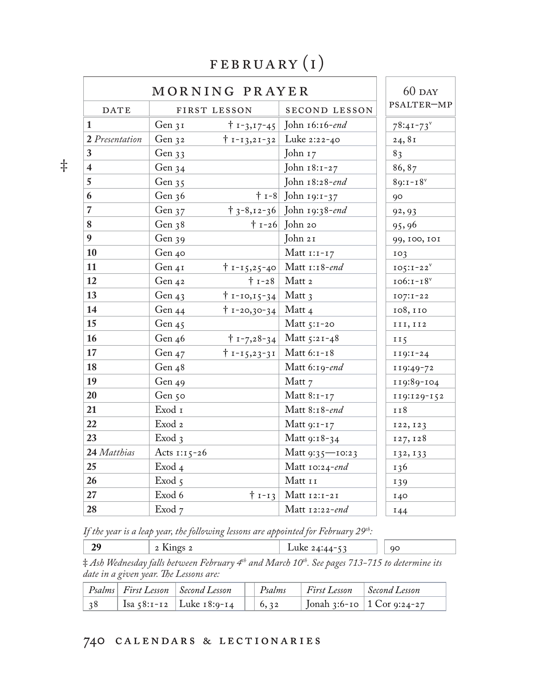#### february (i)

|                         |                   | MORNING PRAYER                   |                                     | $60$ DAY        |
|-------------------------|-------------------|----------------------------------|-------------------------------------|-----------------|
| <b>DATE</b>             |                   | FIRST LESSON                     | SECOND LESSON                       | PSALTER-MP      |
| 1                       | Gen $3I$          |                                  | † 1-3,17-45 John 16:16-end          | $78:41 - 73$    |
| 2 Presentation          | Gen 32            |                                  | $\dagger$ 1-13,21-32 Luke 2:22-40   | 24,81           |
| 3                       | Gen 33            |                                  | John 17                             | 83              |
| $\overline{\mathbf{4}}$ | Gen 34            |                                  | John 18:1-27                        | 86, 87          |
| $\overline{5}$          | Gen $35$          |                                  | John 18:28-end                      | $89:1 - 18$     |
| 6                       | Gen $36$          |                                  | $\dagger$ 1-8 John 19:1-37          | 90              |
| $\overline{7}$          | Gen $37$          |                                  | $\uparrow$ 3-8,12-36 John 19:38-end | 92, 93          |
| $\boldsymbol{8}$        | Gen 38            |                                  | $\dagger$ 1-26 John 20              | 95,96           |
| 9                       | Gen $39$          |                                  | John 21                             | 99, 100, 101    |
| 10                      | Gen 40            |                                  | Matt $1:1-17$                       | 103             |
| 11                      | $Gen_{4I}$        |                                  | $\dagger$ 1-15,25-40 Matt 1:18-end  | $105:1-22^V$    |
| 12                      | Gen 42            |                                  | $\dagger$ 1-28   Matt 2             | $106:1-18v$     |
| 13                      | Gen $43$          | $\dagger$ 1-10,15-34 Matt 3      |                                     | $IO7: I-22$     |
| 14                      | Gen 44            | † 1-20,30-34   Matt 4            |                                     | 108, 110        |
| 15                      | Gen 45            |                                  | Matt $5:1-20$                       | III, II2        |
| 16                      | Gen $46$          |                                  | $\dagger$ 1-7,28-34 Matt 5:21-48    | II <sub>5</sub> |
| 17                      | Gen $47$          | $\dagger$ 1-15,23-31 Matt 6:1-18 |                                     | $119:1-24$      |
| 18                      | Gen $48$          |                                  | Matt 6:19-end                       | 119:49-72       |
| 19                      | Gen $49$          |                                  | Matt 7                              | 119:89-104      |
| 20                      | Gen 50            |                                  | Matt $8:1-17$                       | 119:129-152     |
| 21                      | Exod 1            |                                  | Matt 8:18-end                       | 118             |
| 22                      | Exod 2            |                                  | Matt 9:1-17                         | 122, 123        |
| 23                      | Exod <sub>3</sub> |                                  | Matt 9:18-34                        | 127, 128        |
| 24 Matthias             | Acts $1:15-26$    |                                  | Matt $9:35$ - 10:23                 | 132, 133        |
| 25                      | Exod 4            |                                  | Matt $10:24$ -end                   | 136             |
| 26                      | Exod <sub>5</sub> |                                  | Matt 11                             | 139             |
| 27                      | Exod 6            |                                  | $\dagger$ 1-13 Matt 12:1-21         | 140             |
| 28                      | Exod 7            |                                  | Matt $12:22$ -end                   | 144             |

‡

*If the year is a leap year, the following lessons are appointed for February 29th:*

‡ *Ash Wednesday falls between February 4th and March 10th. See pages 713-715 to determine its date in a given year. !e Lessons are:*

|  | Psalms First Lesson Second Lesson | Psalms                               | $\mid$ First Lesson $\mid$ Second Lesson |                              |
|--|-----------------------------------|--------------------------------------|------------------------------------------|------------------------------|
|  | Isa $58:1-12$ Luke $18:9-14$      | $\begin{array}{ c} 6.32 \end{array}$ |                                          | Jonah 3:6-10   1 Cor 9:24-27 |

#### calendars & lectionaries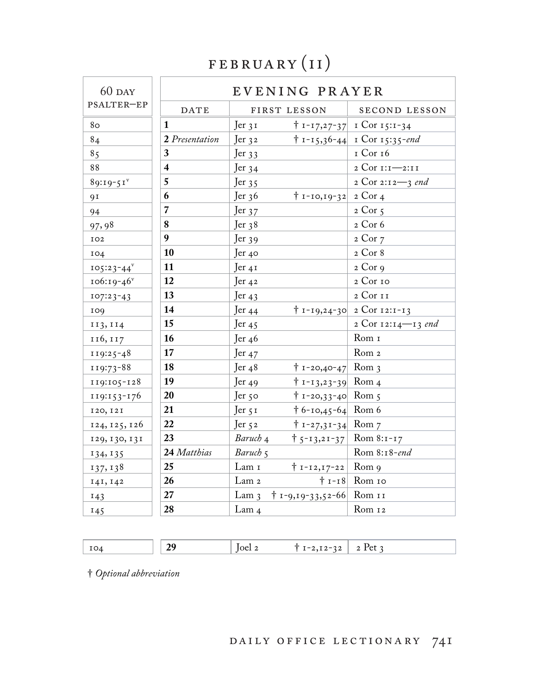### FEBRUARY (II)

| $60$ DAY                 |                         | EVENING PRAYER                                       |                                       |
|--------------------------|-------------------------|------------------------------------------------------|---------------------------------------|
| PSALTER-EP               | <b>DATE</b>             | FIRST LESSON                                         | SECOND LESSON                         |
| 80                       | $\mathbf{1}$            | $\text{Jer }$ 31                                     | $\uparrow$ 1-17,27-37 1 Cor 15:1-34   |
| 84                       | 2 Presentation          | Jer $32$                                             | $\uparrow$ 1-15,36-44 1 Cor 15:35-end |
| 85                       | $\mathbf{3}$            | Jer $33$                                             | 1 Cor 16                              |
| 88                       | $\overline{\mathbf{4}}$ | Jer $34$                                             | 2 Cor 1:1-2:11                        |
| $89:19-51$               | 5                       | Jer $35$                                             | 2 Cor 2:12-3 end                      |
| 9 <sup>I</sup>           | 6                       | Jer $36$<br>$\pm$ 1-10,19-32 2 Cor 4                 |                                       |
| 94                       | $\overline{7}$          | Jer $37$                                             | $2$ Cor 5                             |
| 97,98                    | 8                       | Jer <sub>38</sub>                                    | 2 Cor 6                               |
| IO2                      | $\boldsymbol{9}$        | Jer $39$                                             | 2 Cor 7                               |
| 104                      | 10                      | Jer 40                                               | 2 Cor 8                               |
| $105:23-44$ <sup>v</sup> | $\vert$ 11              | $\text{Jer } 41$                                     | $2$ Cor $9$                           |
| $106:19-46$              | 12                      | Jer $42$                                             | 2 Cor 10                              |
| $107:23-43$              | 13                      | Jer $43$                                             | 2 Cor 11                              |
| 109                      | 14                      | Jer $44$                                             | $\uparrow$ 1-19,24-30 2 Cor 12:1-13   |
| 113, 114                 | 15                      | Jer $45$                                             | 2 Cor 12:14-13 end                    |
| 116, 117                 | <b>16</b>               | Jer $46$                                             | Rom 1                                 |
| $119:25-48$              | 17                      | Jer $47$                                             | Rom <sub>2</sub>                      |
| 119:73-88                | <b>18</b>               | $\uparrow$ 1-20,40-47 Rom 3<br>Jer $48$              |                                       |
| 119:105-128              | <b>19</b>               | $\uparrow$ 1-13,23-39 Rom 4<br>Jer $49$              |                                       |
| 119:153-176              | <b>20</b>               | $\dagger$ 1-20,33-40 Rom 5<br>Jer 50                 |                                       |
| 120, 121                 | 21                      | $\uparrow$ 6-10,45-64 Rom 6<br>Jer 51                |                                       |
| 124, 125, 126            | 22                      | $\mid$ 1-27,31-34 Rom 7<br>Jer $52$                  |                                       |
| 129, 130, 131            | 23                      | Baruch 4<br>$\uparrow$ 5-13,21-37                    | Rom $8:1-17$                          |
| 134, 135                 | 24 Matthias             | Baruch 5                                             | Rom 8:18-end                          |
| 137, 138                 | $\vert 25 \vert$        | Lam 1<br>$\dagger$ 1-12,17-22                        | Rom 9                                 |
| 141, 142                 | 26                      | Lam <sub>2</sub>                                     | $\dagger$ 1-18 Rom 10                 |
| 143                      | 27                      | $\dagger$ 1-9,19-33,52-66 Rom II<br>Lam <sub>3</sub> |                                       |
| 145                      | 28                      | Lam <sub>4</sub>                                     | Rom 12                                |

| IO4 | 20 | $\parallel$ [0e1 $\sim$ | $\mathbf{1}$<br>$-2$ T $2-2$ $\sim$<br>$T - 2$<br>4 L VL<br>. |  |
|-----|----|-------------------------|---------------------------------------------------------------|--|
|     |    |                         |                                                               |  |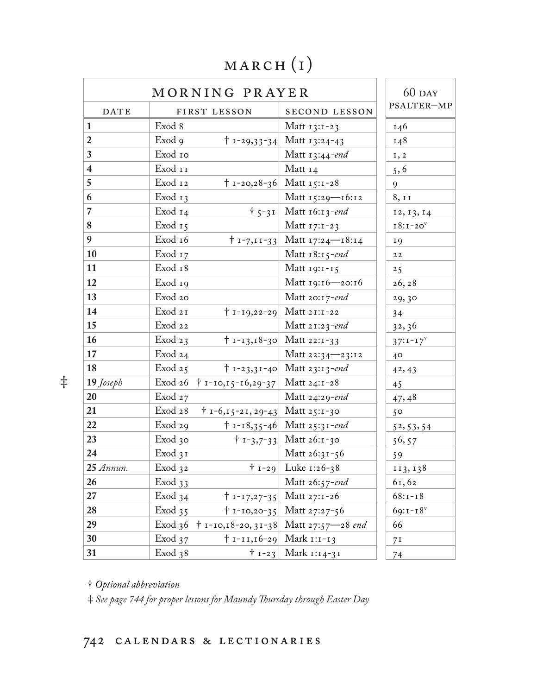#### march (i)

|                         |                    | MORNING PRAYER                          |                                                        | $60$ DAY       |
|-------------------------|--------------------|-----------------------------------------|--------------------------------------------------------|----------------|
| <b>DATE</b>             |                    | FIRST LESSON                            | SECOND LESSON                                          | PSALTER-MP     |
| $\mathbf{1}$            | Exod 8             |                                         | Matt $13:1-23$                                         | 146            |
| $\boldsymbol{2}$        | Exod 9             |                                         | $\dagger$ 1-29,33-34 Matt 13:24-43                     | 148            |
| $\mathbf{3}$            | Exod 10            |                                         | Matt 13:44-end                                         | I, 2           |
| $\overline{\mathbf{4}}$ | Exod 11            |                                         | Matt $14$                                              | 5, 6           |
| $\overline{5}$          | Exod 12            |                                         | $\dagger$ 1-20,28-36 Matt 15:1-28                      | 9              |
| 6                       | Exod $13$          |                                         | Matt 15:29—16:12                                       | 8, 11          |
| $\overline{7}$          | Exod 14            |                                         | $\dagger$ 5-31   Matt 16:13-end                        | 12, 13, 14     |
| $\bf 8$                 | Exod 15            |                                         | Matt $17:1-23$                                         | $18:1-20v$     |
| $\boldsymbol{9}$        | Exod 16            |                                         | $\uparrow$ 1-7,11-33 Matt 17:24-18:14                  | <b>19</b>      |
| <b>10</b>               | Exod 17            |                                         | Matt $18:15$ -end                                      | 22             |
| <b>11</b>               | Exod 18            |                                         | Matt $19:1-15$                                         | 25             |
| 12                      | Exod 19            |                                         | Matt 19:16-20:16                                       | 26, 28         |
| <b>13</b>               | Exod 20            |                                         | Matt 20:17-end                                         | 29,30          |
| $\vert$ 14              | Exod 21            |                                         | $\dagger$ 1-19,22-29 Matt 21:1-22                      | 34             |
| $\vert$ 15              | Exod 22            |                                         | Matt 21:23-end                                         | 32, 36         |
| <b>16</b>               | Exod <sub>23</sub> |                                         | $\dagger$ 1-13,18-30 Matt 22:1-33                      | $37:1 - 17^V$  |
| <b>17</b>               | Exod $24$          |                                         | Matt 22:34–23:12                                       | $40^{\circ}$   |
| <b>18</b>               | Exod $25$          |                                         | $\dagger$ 1-23,31-40 Matt 23:13-end                    | 42, 43         |
| 19 Joseph               |                    | Exod 26 $\uparrow$ 1-10,15-16,29-37     | Matt 24:1-28                                           | 45             |
| 20                      | Exod27             |                                         | Matt 24:29-end                                         | 47,48          |
| 21                      | Exod 28            | $\dagger$ 1-6,15-21, 29-43 Matt 25:1-30 |                                                        | 50             |
| 22                      | Exod29             |                                         | $\dagger$ 1-18,35-46 Matt 25:31-end                    | 52, 53, 54     |
| 23                      | $Exod$ 30          |                                         | $\dagger$ 1-3,7-33 Matt 26:1-30                        | 56, 57         |
| 24                      | Exod 31            |                                         | Matt 26:31-56                                          | 59             |
| $25$ Annun.             | Exod 32            |                                         | $\uparrow$ 1-29 Luke 1:26-38                           | 113, 138       |
| 26                      | Exod <sub>33</sub> |                                         | Matt 26:57-end                                         | 61,62          |
| 27                      | Exod 34            |                                         | $\dagger$ 1-17,27-35 Matt 27:1-26                      | $68:1 - 18$    |
| 28                      | Exod 35            |                                         | $\dagger$ 1-10,20-35 Matt 27:27-56                     | $69:1 - 18$    |
| 29                      |                    |                                         | Exod 36 $\uparrow$ 1-10,18-20, 31-38 Matt 27:57-28 end | 66             |
| 30                      | Exod 37            |                                         | $\dagger$ 1-11,16-29 Mark 1:1-13                       | 7 <sup>I</sup> |
| 31                      | Exod 38            |                                         | $\dagger$ 1-23 Mark 1:14-31                            | 74             |

‡

† *Optional abbreviation* 

‡ *See page 744 for proper lessons for Maundy !ursday through Easter Day*

#### calendars & lectionaries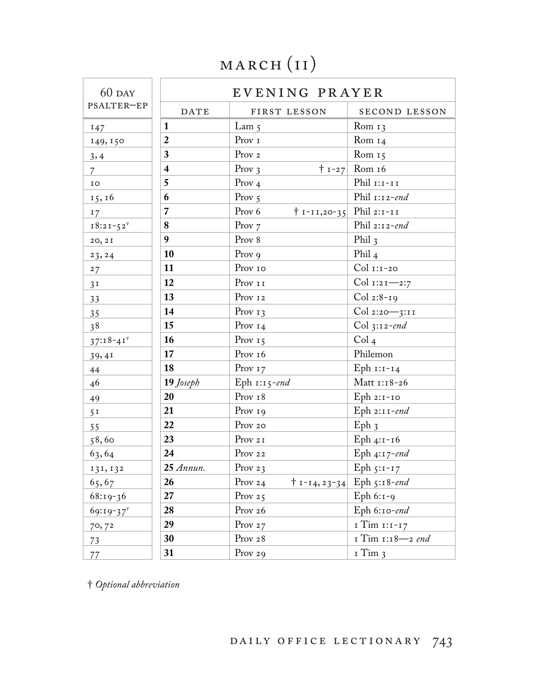## MARCH (II)

|                | $60$ DAY                |                         | EVENING PRAYER             |                                    |
|----------------|-------------------------|-------------------------|----------------------------|------------------------------------|
|                | PSALTER-EP              | <b>DATE</b>             | FIRST LESSON               | SECOND LESSON                      |
|                | 147                     | $\mathbf{1}$            | Lam $5$                    | Rom $13$                           |
|                | 149, 150                | $\overline{2}$          | Prov 1                     | Rom $14$                           |
|                | 3,4                     | $\mathbf{3}$            | Prov <sub>2</sub>          | Rom $15$                           |
| $\overline{7}$ |                         | $\overline{\mathbf{4}}$ | Prov $3$                   | $+ 1 - 27$ Rom 16                  |
| ${\tt IO}$     |                         | 5                       | Prov $4$                   | Phil $\scriptstyle\rm II\,II\,II$  |
|                | 15, 16                  | 6                       | Prov $5$                   | Phil $1:12$ -end                   |
| 17             |                         | $\overline{7}$          | Prov 6<br>$† 1 - 11,20-35$ | Phil $2:1-II$                      |
|                | $18:21-52$ <sup>v</sup> | 8                       | Prov $7$                   | Phil 2:12-end                      |
|                | 20, 2I                  | 9 <sup>°</sup>          | Prov 8                     | Phil $3$                           |
|                | 23, 24                  | 10                      | Prov 9                     | Phil <sub>4</sub>                  |
| 27             |                         | 11                      | Prov 10                    | $Col$ $I:I-20$                     |
| 3 <sup>T</sup> |                         | 12                      | Prov $II$                  | Col 1:21-2:7                       |
| 33             |                         | 13                      | Prov 12                    | $Col 2:8-19$                       |
| 35             |                         | 14                      | Prov $13$                  | Col 2:20-3:11                      |
| 38             |                         | 15                      | Prov $14$                  | $Col$ 3:12-end                     |
|                | $37:18-41$              | 16                      | Prov $15$                  | Col <sub>4</sub>                   |
|                | 39,41                   | 17                      | Prov <sub>16</sub>         | Philemon                           |
|                | 44                      | 18                      | Prov $17$                  | Eph 1:1-14                         |
| 46             |                         | 19 Joseph               | Eph $1:15$ -end            | Matt 1:18-26                       |
| 49             |                         | 20                      | Prov <sub>18</sub>         | Eph 2:1-10                         |
| 5 <sup>T</sup> |                         | 21                      | Prov 19                    | Eph $2:11$ -end                    |
| 55             |                         | 22                      | Prov 20                    | Eph <sub>3</sub>                   |
|                | 58,60                   | 23                      | Prov 21                    | Eph 4:1-16                         |
|                | 63,64                   | 24                      | Prov 22                    | Eph 4:17-end                       |
|                | 131, 132                | $25$ Annun.             | Prov 23                    | Eph $5:1-17$                       |
|                | 65,67                   | 26                      | Prov 24                    | $\dagger$ 1-14, 23-34 Eph 5:18-end |
|                | 68:19-36                | 27                      | Prov $25$                  | Eph $6:1-9$                        |
|                | $69:19-37$              | 28                      | Prov 26                    | Eph 6:10-end                       |
|                | 70,72                   | 29                      | Prov $27$                  | I Tim 1:1-17                       |
| 73             |                         | 30                      | Prov 28                    | 1 Tim 1:18-2 end                   |
| 77             |                         | 31                      | Prov 29                    | 1 Tim 3                            |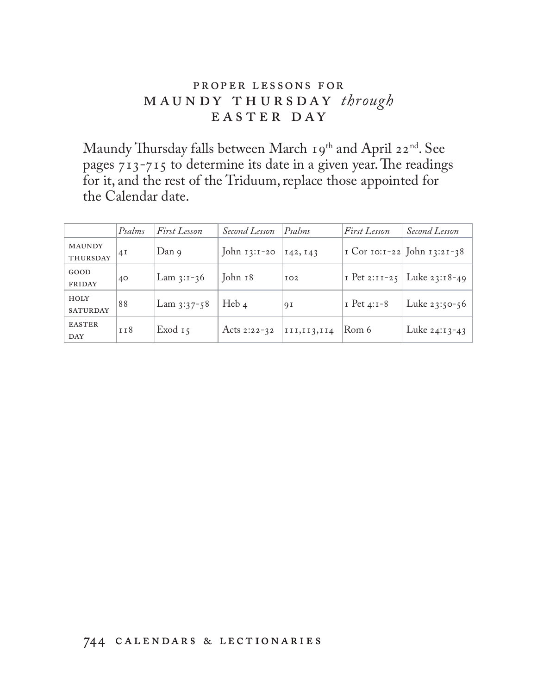#### proper le ssons for maundy thursday *through* easter day

Maundy Thursday falls between March 19<sup>th</sup> and April 22<sup>nd</sup>. See pages  $713-715$  to determine its date in a given year. The readings for it, and the rest of the Triduum, replace those appointed for the Calendar date.

|                             | Psalms          | First Lesson  | Second Lesson  | Psalms        | First Lesson    | Second Lesson               |
|-----------------------------|-----------------|---------------|----------------|---------------|-----------------|-----------------------------|
| <b>MAUNDY</b><br>THURSDAY   | 4I              | Dan 9         | John $13:1-20$ | 142, 143      |                 | I Cor 10:1-22 John 13:21-38 |
| GOOD<br>FRIDAY              | 40              | Lam $3:1-36$  | John 18        | IO2           | $I$ Pet 2:11-25 | Luke $23:18-49$             |
| HOLY<br><b>SATURDAY</b>     | 88              | Lam $3:37-58$ | Heb $4$        | 9 I           | $I$ Pet 4:1-8   | Luke $23:50-56$             |
| <b>EASTER</b><br><b>DAY</b> | T <sub>18</sub> | Exod $15$     | Acts 2:22-32   | III, II3, II4 | Rom 6           | Luke $24:13-43$             |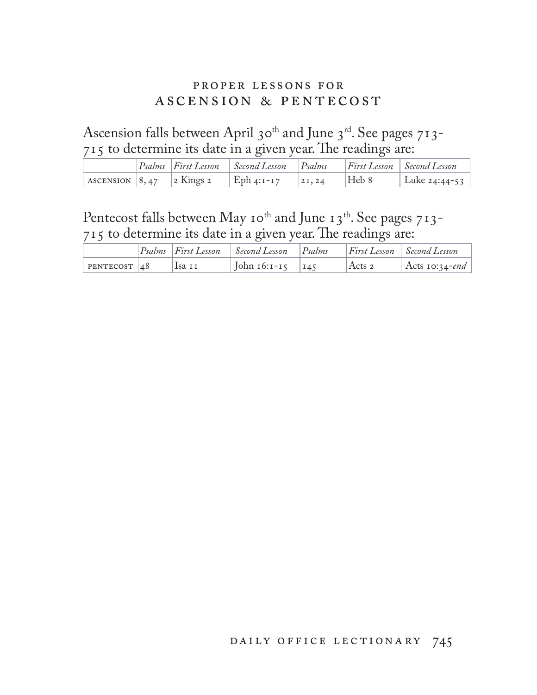#### proper lessons for ascension & pentecost

Ascension falls between April 30<sup>th</sup> and June 3<sup>rd</sup>. See pages 713-715 to determine its date in a given year. The readings are:

|  | $\left  \mathit{Psalms} \right $ First Lesson | $\mid$ Second Lesson $\mid$ | $Ps = Ps$ |       | $\left  \right $ First Lesson $\left  \right $ Second Lesson |
|--|-----------------------------------------------|-----------------------------|-----------|-------|--------------------------------------------------------------|
|  |                                               | Eph 4:1-17                  | 21,24     | Heb 8 | Luke 24:44-53                                                |

#### Pentecost falls between May 10<sup>th</sup> and June 13<sup>th</sup>. See pages 713- $715$  to determine its date in a given year. The readings are:

|                     |        | $ P_{Salms} $ First Lesson $ S_{econd}$ Lesson $ P_{Salms} $ |            | $\vert$ First Lesson $\vert$ Second Lesson |
|---------------------|--------|--------------------------------------------------------------|------------|--------------------------------------------|
| $ $ PENTECOST $ 48$ | lsa 11 | John 16:1-15   145                                           | $ Acts $ 2 | Acts 10:34-end                             |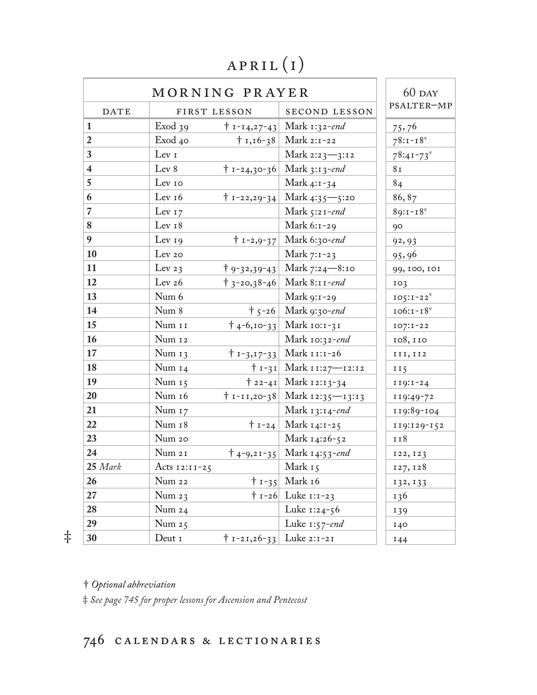#### april (i)

|                         | MORNING PRAYER     |                                   |                                       | $60$ DAY        |
|-------------------------|--------------------|-----------------------------------|---------------------------------------|-----------------|
| <b>DATE</b>             | FIRST LESSON       |                                   | SECOND LESSON                         | PSALTER-MP      |
| $\mathbf{1}$            | Exod <sub>39</sub> |                                   | $\dagger$ 1-14,27-43 Mark 1:32-end    | 75,76           |
| $\boldsymbol{2}$        | Exod 40            |                                   | $\dagger$ 1,16-38 Mark 2:1-22         | $78:1 - 18$     |
| $\mathbf{3}$            | Lev 1              |                                   | Mark 2:23-3:12                        | $78:41 - 73$    |
| $\overline{\mathbf{4}}$ | Lev 8              |                                   | $\dagger$ 1-24,30-36 Mark 3:13-end    | 8 I             |
| $\overline{5}$          | Lev 10             |                                   | Mark 4:1-34                           | 84              |
| $\boldsymbol{6}$        | Lev <sub>16</sub>  |                                   | $\dagger$ 1-22,29-34 Mark 4:35 - 5:20 | 86,87           |
| $\overline{7}$          | Lev $17$           |                                   | Mark $5:21$ -end                      | $89:1 - 18^{v}$ |
| $\boldsymbol{8}$        | Lev <sub>18</sub>  |                                   | Mark $6:1-29$                         | 90              |
| $\boldsymbol{9}$        | Lev $19$           |                                   | $\dagger$ 1-2,9-37 Mark 6:30-end      | 92, 93          |
| 10                      | Lev <sub>20</sub>  |                                   | Mark $7:1-23$                         | 95,96           |
| 11                      | Lev $23$           |                                   | $\dagger$ 9-32,39-43 Mark 7:24-8:10   | 99, 100, 101    |
| 12                      | Lev $26$           |                                   | $\dagger$ 3-20,38-46 Mark 8:11-end    | 103             |
| 13                      | Num 6              |                                   | Mark 9:1-29                           | $105:1-22^v$    |
| 14                      | Num 8              |                                   | $\uparrow$ 5-26 Mark 9:30-end         | $106:1-18$      |
| 15                      | Num 11             |                                   | † 4-6,10-33   Mark 10:1-31            | $107:1-22$      |
| 16                      | Num 12             |                                   | Mark 10:32-end                        | 108, 110        |
| 17                      | Num $13$           |                                   | $\dagger$ 1-3,17-33 Mark 11:1-26      | III, II2        |
| 18                      | Num $14$           |                                   | † 1-31   Mark 11:27—12:12             | II $5$          |
| 19                      | Num $15$           |                                   | $\uparrow$ 22-41 Mark 12:13-34        | $119:1-24$      |
| 20                      | Num 16             |                                   | $\dagger$ 1-11,20-38 Mark 12:35—13:13 | 119:49-72       |
| 21                      | Num 17             |                                   | Mark $13:14$ -end                     | 119:89-104      |
| 22                      | Num 18             |                                   | $\dagger$ 1-24 Mark 14:1-25           | 119:129-152     |
| 23                      | Num 20             |                                   | Mark 14:26-52                         | 118             |
| 24                      | Num 21             |                                   | $\dagger$ 4-9,21-35 Mark 14:53-end    | 122, 123        |
| 25 Mark                 | Acts $12:11-25$    |                                   | Mark 15                               | 127, 128        |
| 26                      | Num 22             |                                   | $\dagger$ 1-35 Mark 16                |                 |
| 27                      | Num $23$           |                                   | $\uparrow$ 1-26 Luke 1:1-23           | 132, 133<br>136 |
| 28                      | Num 24             |                                   | Luke 1:24-56                          |                 |
| 29                      | Num 25             |                                   | Luke $1:57$ -end                      | 139<br>140      |
| 30                      | Deut 1             | $\uparrow$ 1-21,26-33 Luke 2:1-21 |                                       |                 |
|                         |                    |                                   |                                       | 144             |

† *Optional abbreviation* 

‡ *See page 745 for proper lessons for Ascension and Pentecost*

#### calendars & lectionaries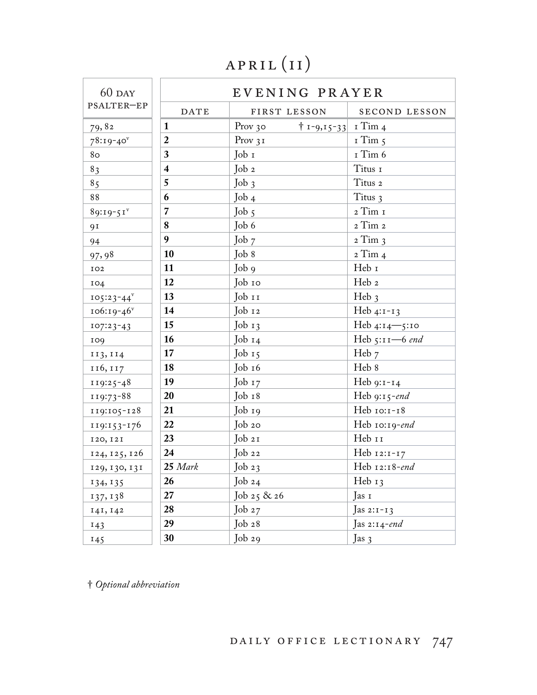# APRIL (II)

| $60$ DAY        | EVENING PRAYER          |                                         |                  |
|-----------------|-------------------------|-----------------------------------------|------------------|
| PSALTER-EP      | <b>DATE</b>             | FIRST LESSON                            | SECOND LESSON    |
| 79,82           | $\mathbf{1}$            | $ 1 - 9, 15 - 33 $ 1 Tim 4<br>Prov $30$ |                  |
| $78:19-40$      | $\overline{2}$          | Prov $31$                               | $I$ Tim $5$      |
| 8 <sub>O</sub>  | $\mathbf{3}$            | Job 1                                   | I Tim 6          |
| 83              | $\overline{\mathbf{4}}$ | Job 2                                   | Titus 1          |
| 8 <sub>5</sub>  | 5                       | $Job_3$                                 | Titus 2          |
| 88              | 6                       | Job 4                                   | Titus 3          |
| $89:19-51$      | $\overline{7}$          | Job 5                                   | 2 Tim 1          |
| 91              | 8                       | Job 6                                   | 2 Tim 2          |
| 94              | 9                       | Job 7                                   | $2$ Tim $3$      |
| 97,98           | 10                      | Job 8                                   | 2 Tim 4          |
| IO2             | 11                      | Job 9                                   | Heb 1            |
| 104             | 12                      | Job 10                                  | Heb 2            |
| $105:23 - 44^v$ | 13                      | Job 11                                  | Heb <sub>3</sub> |
| $106:19-46$     | 14                      | Job 12                                  | Heb $4:1-13$     |
| $107:23-43$     | 15                      | Job 13                                  | Heb 4:14-5:10    |
| 109             | 16                      | $Job_14$                                | Heb $5:11-6$ end |
| 113, 114        | 17                      | Job $15$                                | Heb 7            |
| 116, 117        | 18                      | Job 16                                  | Heb 8            |
| 119:25-48       | 19                      | Job $17$                                | Heb 9:1-14       |
| 119:73-88       | 20                      | Job 18                                  | Heb 9:15-end     |
| 119:105-128     | 21                      | Job 19                                  | Heb 10:1-18      |
| 119:153-176     | 22                      | Job 20                                  | Heb 10:19-end    |
| 120, 121        | 23                      | Job 21                                  | Heb 11           |
| 124, 125, 126   | $\sqrt{24}$             | Job 22                                  | Heb 12:1-17      |
| 129, 130, 131   | $25$ Mark               | Job $23$                                | Heb 12:18-end    |
| 134, 135        | 26                      | Job $24$                                | Heb 13           |
| 137, 138        | 27                      | Job 25 & 26                             | Jas 1            |
| 141, 142        | 28                      | Job $27$                                | Jas 2: $i-13$    |
| 143             | 29                      | Job 28                                  | Jas 2:14-end     |
| 145             | 30                      | Job 29                                  | Jas $3$          |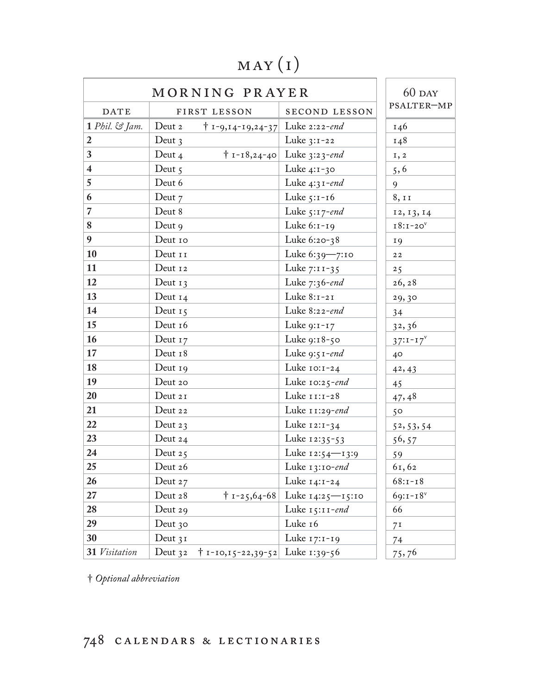### may (i)

| MORNING PRAYER          |                                                  |                                    | $60$ DAY       |
|-------------------------|--------------------------------------------------|------------------------------------|----------------|
| <b>DATE</b>             | FIRST LESSON                                     | <b>SECOND LESSON</b>               | PSALTER-MP     |
| $1$ Phil. $\Im$ Jam.    | Deut 2<br>$† 1 - 9, 14 - 19, 24 - 37$            | Luke $2:22$ -end                   | 146            |
| $\overline{2}$          | Deut $3$                                         | Luke $3:1-22$                      | 148            |
| $\mathbf{3}$            | Deut 4                                           | $\dagger$ 1-18,24-40 Luke 3:23-end | 1, 2           |
| $\overline{\mathbf{4}}$ | Deut $5$                                         | Luke $4:1-30$                      | 5, 6           |
| $\overline{5}$          | Deut 6                                           | Luke $4:31$ -end                   | 9              |
| $\boldsymbol{6}$        | Deut 7                                           | Luke $5:1-16$                      | 8, 11          |
| $\overline{7}$          | Deut 8                                           | Luke $5:17$ -end                   | 12, 13, 14     |
| 8                       | Deut $9$                                         | Luke 6:1-19                        | $18:1-20v$     |
| $\boldsymbol{9}$        | Deut 10                                          | Luke 6:20-38                       | <b>19</b>      |
| 10                      | Deut 11                                          | Luke $6:39 - 7:10$                 | $2\,2$         |
| $\vert$ 11              | Deut 12                                          | Luke $7:11-35$                     | 25             |
| $\vert$ 12              | Deut $13$                                        | Luke $7:36$ -end                   | 26, 28         |
| <b>13</b>               | Deut $14$                                        | Luke $8:1-21$                      | 29,30          |
| $\vert$ 14              | Deut $15$                                        | Luke 8:22-end                      | 34             |
| <b>15</b>               | Deut 16                                          | Luke $9:1-17$                      | 32,36          |
| 16                      | Deut $17$                                        | Luke 9:18-50                       | $37:1 - 17^V$  |
| $\vert$ 17              | Deut 18                                          | Luke $9:51$ -end                   | 40             |
| <b>18</b>               | Deut $19$                                        | Luke $10:1-24$                     | 42, 43         |
| $\vert$ 19              | Deut 20                                          | Luke $10:25$ -end                  | 45             |
| 20                      | Deut 21                                          | Luke 11:1-28                       | 47,48          |
| 21                      | Deut 22                                          | Luke 11:29-end                     | $5^{\circ}$    |
| 22                      | Deut $23$                                        | Luke $12:1-34$                     | 52, 53, 54     |
| 23                      | Deut $24$                                        | Luke 12:35-53                      | 56, 57         |
| 24                      | Deut $25$                                        | Luke 12:54-13:9                    | 59             |
| 25                      | Deut 26                                          | Luke 13:10-end                     | 61,62          |
| 26                      | Deut 27                                          | Luke $14:1-24$                     | $68:1 - 18$    |
| 27                      | Deut 28<br>$\dagger$ 1-25,64-68                  | Luke 14:25—15:10                   | $69:1 - 18$    |
| 28                      | Deut 29                                          | Luke $15:11$ -end                  | 66             |
| 29                      | Deut 30                                          | Luke 16                            | 7 <sup>I</sup> |
| 30                      | Deut $31$                                        | Luke 17:1-19                       | 74             |
| 31 Visitation           | Deut 32 $\uparrow$ 1-10,15-22,39-52 Luke 1:39-56 |                                    | 75,76          |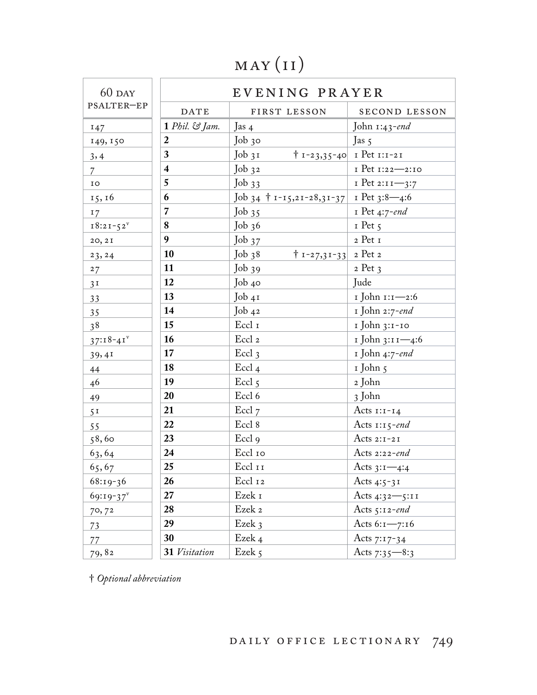# may (i i)

| $60$ DAY       | EVENING PRAYER          |                                    |                                |
|----------------|-------------------------|------------------------------------|--------------------------------|
| PSALTER-EP     | <b>DATE</b>             | FIRST LESSON                       | SECOND LESSON                  |
| 147            | $1$ Phil. $\Im$ Jam.    | Jas $4$                            | John $1:43$ -end               |
| 149, 150       | $\boldsymbol{2}$        | Job 30                             | Jas $5$                        |
| 3,4            | $\overline{\mathbf{3}}$ | $Job_31$                           | $\mid$ 1-23,35-40 I Pet 1:1-21 |
| $\overline{7}$ | $\overline{\mathbf{4}}$ | $Job_{32}$                         | I Pet 1:22-2:10                |
| IO             | 5                       | Job33                              | $I$ Pet 2:11-3:7               |
| 15, 16         | 6                       | Job 34 $\dagger$ 1-15,21-28,31-37  | 1 Pet 3:8—4:6                  |
| 17             | $\overline{7}$          | Job35                              | I Pet 4:7-end                  |
| $18:21 - 52^v$ | $\boldsymbol{8}$        | Job36                              | $I$ Pet $5$                    |
| 20, 2I         | 9                       | Job $37$                           | 2 Pet 1                        |
| 23, 24         | 10                      | $\mid$ 1-27,31-33 2 Pet 2<br>Job38 |                                |
| 27             | 11                      | Job39                              | $2$ Pet $3$                    |
| 3 <sup>T</sup> | 12                      | Job 40                             | Jude                           |
| 33             | 13                      | Job 41                             | 1 John 1:1-2:6                 |
| 35             | 14                      | Job42                              | 1 John 2:7-end                 |
| 3 <sup>8</sup> | 15                      | Eccl 1                             | 1 John 3:1-10                  |
| $37:18-41$     | 16                      | Eccl <sub>2</sub>                  | 1 John 3:11-4:6                |
| 39,41          | 17                      | $\text{E}$ ccl <sub>3</sub>        | 1 John 4:7-end                 |
| 44             | 18                      | Eccl <sub>4</sub>                  | 1 John 5                       |
| 46             | 19                      | Eccl <sub>5</sub>                  | 2 John                         |
| 49             | 20                      | Eccl 6                             | 3 John                         |
| 5 <sup>T</sup> | 21                      | Eccl 7                             | Acts $1:1-14$                  |
| 55             | 22                      | Eccl 8                             | Acts $1:15$ -end               |
| 58,60          | 23                      | Eccl <sub>9</sub>                  | Acts $2:1-21$                  |
| 63,64          | 24                      | Eccl 10                            | Acts $2:22$ -end               |
| 65,67          | 25                      | Eccl 11                            | Acts $3:1-4:4$                 |
| 68:19-36       | 26                      | Eccl 12                            | Acts $4:5-3I$                  |
| $69:19-37$     | 27                      | Ezek 1                             | Acts 4:32-5:11                 |
| 70,72          | 28                      | Ezek 2                             | Acts $5:12$ -end               |
| 73             | 29                      | Ezek 3                             | Acts $6:1 - 7:16$              |
| 77             | 30                      | Ezek 4                             | Acts 7:17-34                   |
| 79,82          | 31 Visitation           | Ezek 5                             | Acts $7:35 - 8:3$              |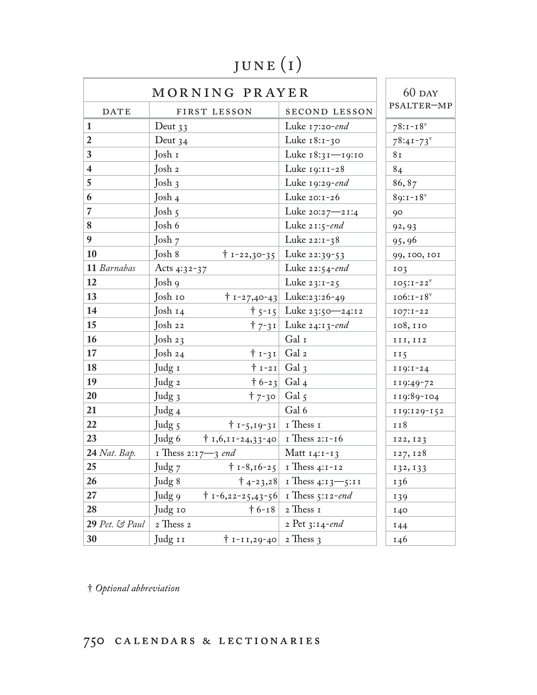# june (i)

| MORNING PRAYER          |                                |                                              | $60$ DAY                               |                 |
|-------------------------|--------------------------------|----------------------------------------------|----------------------------------------|-----------------|
| <b>DATE</b>             |                                | FIRST LESSON                                 | <b>SECOND LESSON</b>                   | PSALTER-MP      |
| $\mathbf{1}$            | Deut $33$                      |                                              | Luke $17:20$ -end                      | $78:1 - 18$     |
| $\overline{2}$          | Deut $34$                      |                                              | Luke 18:1-30                           | $78:41 - 73$    |
| $\mathbf{3}$            | Josh 1                         |                                              | Luke 18:31-19:10                       | 8 <sub>I</sub>  |
| $\overline{\mathbf{4}}$ | Josh 2                         |                                              | Luke 19:11-28                          | 84              |
| $\overline{5}$          | Josh $3$                       |                                              | Luke 19:29-end                         | 86,87           |
| 6                       | Josh 4                         |                                              | Luke 20:1-26                           | $89:1 - 18$     |
| $\overline{7}$          | Josh $5$                       |                                              | Luke $20:27 - 21:4$                    | 90              |
| 8                       | Josh 6                         |                                              | Luke $21:5$ -end                       | 92, 93          |
| $\boldsymbol{9}$        | Josh 7                         |                                              | Luke 22:1-38                           | 95,96           |
| 10                      | Josh 8                         | $\dagger$ 1-22,30-35                         | Luke 22:39-53                          | 99, 100, 101    |
| 11 Barnabas             | Acts 4:32-37                   |                                              | Luke $22:54$ -end                      | 103             |
| <b>12</b>               | Josh 9                         |                                              | Luke 23:1-25                           | $105:1-22^v$    |
| <b>13</b>               | Josh 10                        |                                              | $\uparrow$ 1-27,40-43 Luke:23:26-49    | $106:1-18v$     |
| $\vert$ 14              | Josh 14                        |                                              | $\uparrow$ 5-15 Luke 23:50 - 24:12     | $107:1-22$      |
| $\vert 15 \vert$        | Josh 22                        |                                              | $\uparrow$ 7-31 Luke 24:13-end         | 108, 110        |
| <b>16</b>               | Josh $23$                      |                                              | Gal I                                  | III, II2        |
| <b>17</b>               | Josh 24                        | $\dagger$ 1-31 Gal 2                         |                                        | II <sub>5</sub> |
| 18                      | Judg 1                         | $\vert + \vert 1 - 2 \vert 1 \vert$ Gal 3    |                                        | $119:1-24$      |
| 19                      | Judg <sub>2</sub>              | $\uparrow$ 6-23 Gal 4                        |                                        | 119:49-72       |
| 20                      | Judg 3                         | $†7-30$                                      | Gal 5                                  | 119:89-104      |
| 21                      | Judg <sub>4</sub>              |                                              | Gal 6                                  | 119:129-152     |
| 22                      | Judg 5                         | $\uparrow$ 1-5,19-31   1 Thess 1             |                                        | 118             |
| 23                      | Judg 6                         | † 1,6,11-24,33-40   1 Thess 2:1-16           |                                        | 122, 123        |
| 24 Nat. Bap.            | I Thess $2:17 \rightarrow$ end |                                              | Matt $14:1-13$                         | 127, 128        |
| 25                      | Judg 7                         |                                              | $\uparrow$ 1-8,16-25   1 Thess 4:1-12  | 132, 133        |
| 26                      | Judg 8                         |                                              | $\dagger$ 4-23,28   I Thess 4:13 -5:11 | 136             |
| 27                      | Judg 9                         | $\dagger$ 1-6,22-25,43-56   1 Thess 5:12-end |                                        | 139             |
| 28                      | Judg 10                        |                                              | $\dagger$ 6-18 $\vert$ 2 Thess 1       | <b>140</b>      |
| 29 Pet. $\Im$ Paul      | 2 Thess 2                      |                                              | 2 Pet $3:14$ -end                      | 144             |
| 30                      | Judg 11                        | $\dagger$ 1-11,29-40 2 Thess 3               |                                        | 146             |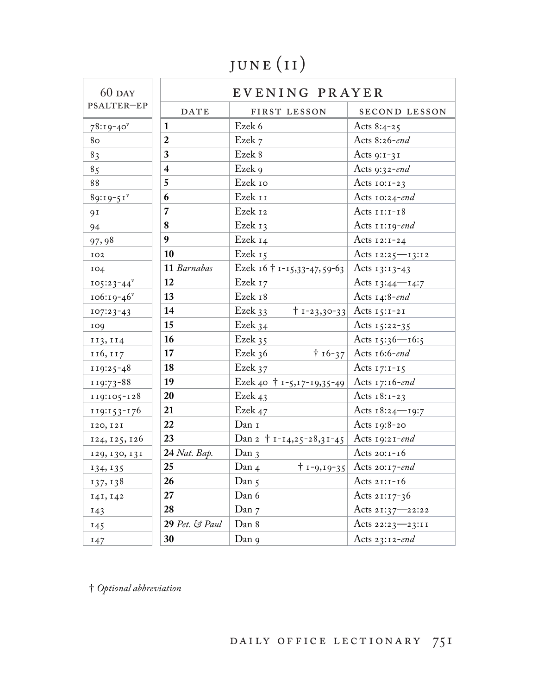# JUNE (II)

| $60$ DAY      | EVENING PRAYER |                                                 |                                    |
|---------------|----------------|-------------------------------------------------|------------------------------------|
| PSALTER-EP    | <b>DATE</b>    | FIRST LESSON                                    | SECOND LESSON                      |
| $78:19-40$    | $\mathbf{1}$   | Ezek 6                                          | Acts $8:4-25$                      |
| 80            | $\overline{2}$ | Ezek 7                                          | Acts 8:26-end                      |
| 83            | 3              | Ezek 8                                          | Acts $9:1-31$                      |
| 85            | $\overline{4}$ | Ezek 9                                          | Acts 9:32-end                      |
| 88            | 5              | Ezek 10                                         | Acts $10:1-23$                     |
| $89:19-51$    | 6              | Ezek 11                                         | Acts 10:24-end                     |
| 91            | $\overline{7}$ | Ezek 12                                         | Acts $11:1-18$                     |
| 94            | 8              | Ezek 13                                         | Acts $11:19$ -end                  |
| 97,98         | 9              | Ezek 14                                         | Acts $12:1-24$                     |
| IO2           | 10             | Ezek 15                                         | Acts 12:25-13:12                   |
| 104           | 11 Barnabas    | Ezek 16 † 1-15,33-47,59-63                      | Acts $13:13-43$                    |
| $105:23 - 44$ | 12             | Ezek 17                                         | Acts $13:44$ - $14:7$              |
| $106:19-46$   | 13             | Ezek 18                                         | Acts $14:8$ -end                   |
| $107:23-43$   | 14             | Ezek 33                                         | $\uparrow$ 1-23,30-33 Acts 15:1-21 |
| 109           | 15             | Ezek 34                                         | Acts $15:22-35$                    |
| 113, 114      | 16             | Ezek 35                                         | Acts $15:36 - 16:5$                |
| 116, 117      | 17             | Ezek $36$                                       | $\uparrow$ 16-37 Acts 16:6-end     |
| 119:25-48     | 18             | Ezek $37$                                       | Acts $17:1-15$                     |
| 119:73-88     | 19             | Ezek 40 † 1-5,17-19,35-49                       | Acts $17:16$ -end                  |
| 119:105-128   | 20             | Ezek 43                                         | Acts $18:1-23$                     |
| 119:153-176   | 21             | Ezek 47                                         | Acts $18:24$ -19:7                 |
| 120, 121      | 22             | Dan 1                                           | Acts 19:8-20                       |
| 124, 125, 126 | 23             | Dan 2 $\dagger$ 1-14,25-28,31-45 Acts 19:21-end |                                    |
| 129, 130, 131 | 24 Nat. Bap.   | Dan $\alpha$                                    | Acts $20:1-16$                     |
| 134, 135      | 25             | Dan 4                                           | $\dagger$ 1-9,19-35 Acts 20:17-end |
| 137, 138      | 26             | Dan 5                                           | Acts $21:1-16$                     |
| 141, 142      | 27             | Dan 6                                           | Acts $21:17-36$                    |
| 143           | 28             | Dan 7                                           | Acts 21:37-22:22                   |
| 145           | 29 Pet. & Paul | Dan 8                                           | Acts 22:23-23:11                   |
| 147           | 30             | Dan 9                                           | Acts $23:12$ -end                  |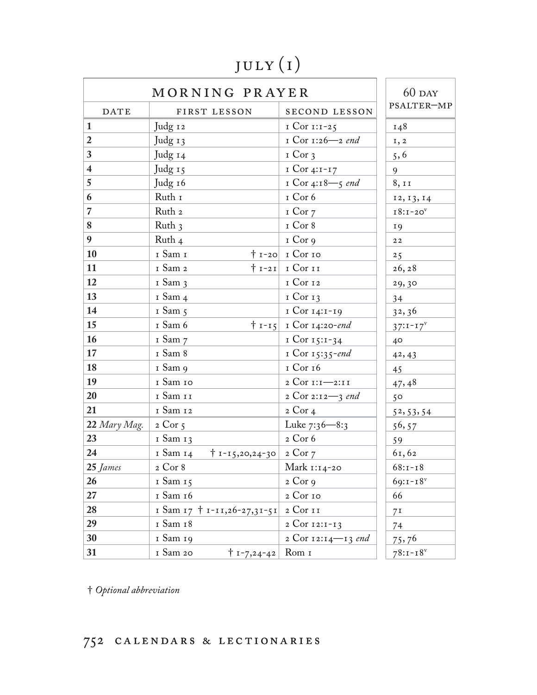# july (i)

| MORNING PRAYER          |                                       |                                | $60$ DAY       |
|-------------------------|---------------------------------------|--------------------------------|----------------|
| <b>DATE</b>             | FIRST LESSON                          | <b>SECOND LESSON</b>           | PSALTER-MP     |
| $\mathbf{1}$            | Judg 12                               | I Cor $1:1-25$                 | 148            |
| $\boldsymbol{2}$        | Judg 13                               | I Cor 1:26-2 end               | I, 2           |
| $\overline{\mathbf{3}}$ | Judg 14                               | $I$ Cor 3                      | 5, 6           |
| $\overline{\mathbf{4}}$ | Judg 15                               | $ICor 4:I-I7$                  | 9              |
| $\overline{5}$          | Judg 16                               | I Cor 4:18-5 end               | 8, 11          |
| $\boldsymbol{6}$        | Ruth 1                                | I Cor 6                        | 12, 13, 14     |
| $\overline{7}$          | Ruth <sub>2</sub>                     | $I$ Cor $7$                    | $18:1-20v$     |
| 8                       | Ruth 3                                | I Cor 8                        | <b>19</b>      |
| $\boldsymbol{9}$        | Ruth <sub>4</sub>                     | I Cor 9                        | 22             |
| $\vert$ 10              | I Sam I                               | $\uparrow$ 1-20 I Cor 10       | 25             |
| <b>11</b>               | 1 Sam 2                               | $\mid$ I-21 I Cor II           | 26, 28         |
| <b>12</b>               | I Sam 3                               | 1 Cor 12                       | 29,30          |
| <b>13</b>               | I Sam 4                               | $I$ Cor $I$ 3                  | 34             |
| $\vert$ 14              | I Sam 5                               | 1 Cor 14:1-19                  | 32, 36         |
| <b>15</b>               | I Sam 6                               | $\dagger$ 1-15 1 Cor 14:20-end | $37:1 - 17^V$  |
| $\vert$ 16              | I Sam 7                               | 1 Cor 15:1-34                  | $40^{\circ}$   |
| $\boxed{17}$            | I Sam 8                               | I Cor 15:35-end                | 42, 43         |
| <b>18</b>               | I Sam 9                               | I Cor 16                       | 45             |
| $\vert$ 19              | I Sam 10                              | 2 Cor 1:1-2:11                 | 47,48          |
| 20                      | I Sam II                              | 2 $Cor\ 2:12 - 3$ end          | 50             |
| 21                      | 1 Sam 12                              | $2$ Cor 4                      | 52, 53, 54     |
| 22 Mary Mag. 2 Cor 5    |                                       | Luke 7:36–8:3                  | 56, 57         |
| 23                      | 1 Sam 13                              | 2 Cor 6                        | 59             |
| 24                      | 1 Sam 14<br>$† 1 - 15,20,24 - 30$     | $2$ Cor $7$                    | 61,62          |
| 25 James                | 2 Cor 8                               | Mark 1:14-20                   | $68:1 - 18$    |
| $26\phantom{.}$         | 1 Sam 15                              | $2$ Cor 9                      | $69:1 - 18$    |
| 27                      | 1 Sam 16                              | 2 Cor 10                       | 66             |
| 28                      | I Sam 17 + 1-11,26-27,31-51 2 Cor 11  |                                | 7 <sup>I</sup> |
| 29                      | 1 Sam 18                              | 2 Cor 12:1-13                  | 74             |
| 30                      | I Sam 19                              | 2 Cor 12:14–13 end             | 75,76          |
| 31                      | 1 Sam 20<br>$\dagger$ 1-7,24-42 Rom 1 |                                | $78:1 - 18$    |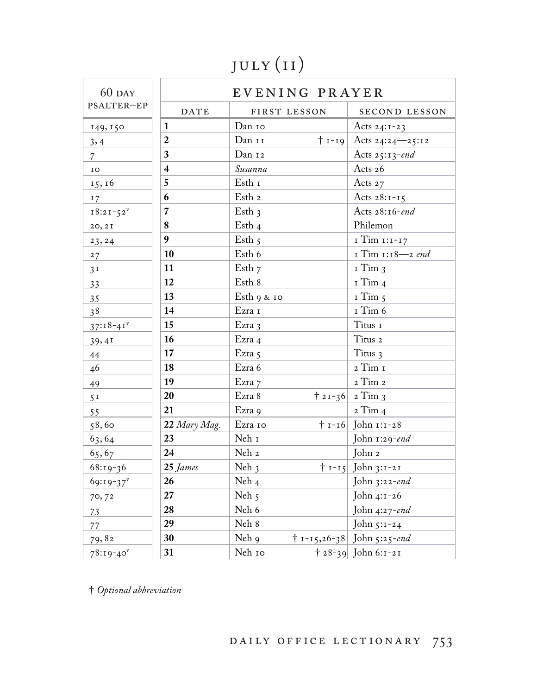# july (i i)

| $60$ DAY       | EVENING PRAYER |              |  |                                    |
|----------------|----------------|--------------|--|------------------------------------|
| PSALTER-EP     | <b>DATE</b>    | FIRST LESSON |  | SECOND LESSON                      |
| 149, 150       | 1              | Dan 10       |  | Acts $24:1-23$                     |
| 3,4            | $\overline{2}$ | Dan 11       |  | $\dagger$ 1-19 Acts 24:24—25:12    |
| $\overline{7}$ | 3              | Dan 12       |  | Acts $25:13$ -end                  |
| IO             | $\overline{4}$ | Susanna      |  | Acts 26                            |
| 15, 16         | 5              | Esth 1       |  | Acts 27                            |
| 17             | 6              | Esth 2       |  | Acts $28:1-15$                     |
| $18:21-52^v$   | $\overline{7}$ | Esth $3$     |  | Acts 28:16-end                     |
| 20, 2I         | 8              | Esth 4       |  | Philemon                           |
| 23, 24         | 9              | Esth $5$     |  | 1 Tim 1:1-17                       |
| 27             | 10             | Esth 6       |  | I Tim 1:18-2 end                   |
| 3 <sup>T</sup> | 11             | Esth $7$     |  | $I$ Tim $3$                        |
| 33             | 12             | Esth 8       |  | $I$ Tim 4                          |
| 35             | 13             | Esth 9 & 10  |  | $I$ Tim $5$                        |
| 38             | 14             | Ezra 1       |  | I Tim 6                            |
| $37:18-41$     | 15             | Ezra 3       |  | Titus 1                            |
| 39,41          | 16             | Ezra 4       |  | Titus 2                            |
| 44             | 17             | Ezra 5       |  | Titus 3                            |
| 46             | 18             | Ezra 6       |  | 2 Tim 1                            |
| 49             | 19             | Ezra 7       |  | 2 Tim 2                            |
| 5 <sup>T</sup> | 20             | Ezra 8       |  | $\frac{1}{2}$ 2 1 - 36 2 Tim 3     |
| 55             | 21             | Ezra 9       |  | $2$ Tim $4$                        |
| 58,60          | 22 Mary Mag.   | Ezra 10      |  | $\dagger$ 1-16 John 1:1-28         |
| 63,64          | 23             | Neh 1        |  | John $1:29$ -end                   |
| 65,67          | 24             | Neh 2        |  | John 2                             |
| $68:19-36$     | 25 James       | Neh $3$      |  | $\mid t - 15 \mid$ John 3:1-21     |
| $69:19-37$     | 26             | Neh 4        |  | John 3:22-end                      |
| 70,72          | 27             | Neh 5        |  | John 4:1-26                        |
| 73             | 28             | Neh $6\,$    |  | John 4:27-end                      |
| 77             | 29             | Neh 8        |  | John 5:1-24                        |
| 79,82          | 30             | Neh 9        |  | $\dagger$ 1-15,26-38 John 5:25-end |
| $78:19-40$     | 31             | Neh 10       |  | $\uparrow$ 28-39 John 6:1-21       |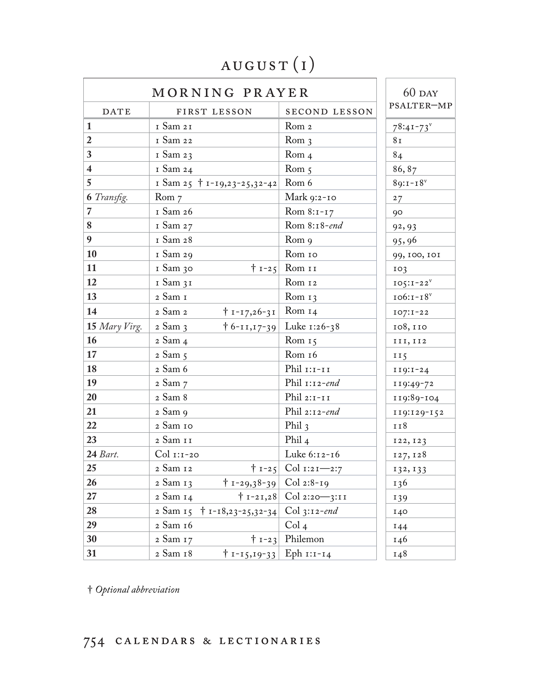### august (i)

|                         | MORNING PRAYER                                   |                                   |                 |
|-------------------------|--------------------------------------------------|-----------------------------------|-----------------|
| <b>DATE</b>             | FIRST LESSON                                     | SECOND LESSON                     | PSALTER-MP      |
| $\mathbf{1}$            | I Sam 21                                         | Rom <sub>2</sub>                  | $78:41 - 73$    |
| $\overline{2}$          | 1 Sam 22                                         | Rom <sub>3</sub>                  | 8 <sub>I</sub>  |
| $\mathbf{3}$            | 1 Sam 23                                         | Rom <sub>4</sub>                  | 84              |
| $\overline{\mathbf{4}}$ | 1 Sam 24                                         | Rom $5$                           | 86, 87          |
| $5\overline{)}$         | 1 Sam 25 + 1-19,23-25,32-42                      | Rom 6                             | $89:1 - 18$     |
| <b>6</b> Transfig.      | Rom $7$                                          | Mark 9:2-10                       | 27              |
| $\overline{7}$          | 1 Sam 26                                         | Rom $8:1 - 17$                    | 90              |
| $\bf 8$                 | 1 Sam 27                                         | Rom 8:18-end                      | 92, 93          |
| $\boldsymbol{9}$        | 1 Sam 28                                         | Rom 9                             | 95,96           |
| 10                      | 1 Sam 29                                         | Rom 10                            | 99, 100, 101    |
| <b>11</b>               | 1 Sam 30                                         | $\vert t_1 - 25 \vert$ Rom II     | 103             |
| 12                      | 1 Sam 31                                         | Rom 12                            | $105:1-22^v$    |
| 13                      | 2 Sam 1                                          | Rom $13$                          | $106:1 - 18^v$  |
| $\vert$ 14              | 2 Sam 2<br>$\uparrow$ 1-17,26-31                 | Rom $14$                          | $IO7: I-22$     |
| 15 Mary Virg.           | $2$ Sam $3$                                      | $\dagger$ 6-11,17-39 Luke 1:26-38 | 108, 110        |
| 16                      | 2 Sam 4                                          | Rom $15$                          | III, II2        |
| 17                      | $2$ Sam $5$                                      | Rom 16                            | II <sub>5</sub> |
| <b>18</b>               | 2 Sam 6                                          | Phil $r: r-rr$                    | $119:1-24$      |
| 19                      | 2 Sam 7                                          | Phil $1:12$ -end                  | 119:49-72       |
| 20                      | 2 Sam 8                                          | Phil $2:1-II$                     | 119:89-104      |
| 21                      | 2 Sam 9                                          | Phil $2:12$ -end                  | 119:129-152     |
| 22                      | 2 Sam 10                                         | Phil $3$                          | 118             |
| 23                      | 2 Sam 11                                         | Phil $4$                          | 122, 123        |
| 24 Bart.                | $Col$ 1:1-20                                     | Luke 6:12-16                      | 127, 128        |
| 25                      | 2 Sam 12                                         | $\uparrow$ 1-25 Col 1:21-2:7      | 132, 133        |
| 26                      | 2 Sam 13<br>$\uparrow$ 1-29,38-39 Col 2:8-19     |                                   | 136             |
| 27                      | 2 Sam 14                                         | $\dagger$ 1-21,28 Col 2:20-3:11   | 139             |
| 28                      | 2 Sam 15 $\dagger$ 1-18,23-25,32-34 Col 3:12-end |                                   | 140             |
| 29                      | 2 Sam 16                                         | Col <sub>4</sub>                  | 144             |
| 30                      | 2 Sam 17                                         | $\uparrow$ 1-23 Philemon          | 146             |
| 31                      | 2 Sam 18<br>$+ 1 - 15, 19 - 33$ Eph $1:1 - 14$   |                                   | 148             |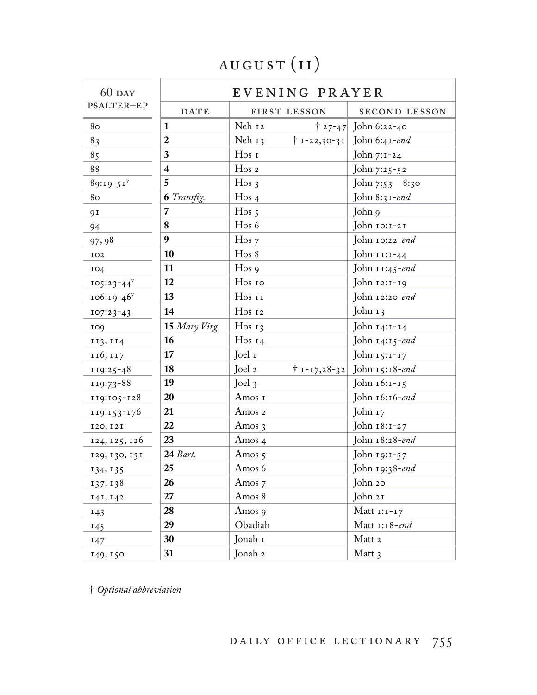## august (i i)

| $60$ DAY        | EVENING PRAYER     |                               |                               |
|-----------------|--------------------|-------------------------------|-------------------------------|
| PSALTER-EP      | <b>DATE</b>        | FIRST LESSON                  | SECOND LESSON                 |
| 80              | $\mathbf{1}$       | Neh 12                        | $\uparrow$ 27-47 John 6:22-40 |
| 83              | $\boldsymbol{2}$   | Neh $13$                      | † 1-22,30-31 John 6:41-end    |
| 85              | 3                  | Hos I                         | John 7:1-24                   |
| 88              | 4                  | $H$ os 2                      | John 7:25-52                  |
| $89:19-51$      | 5                  | Hos <sub>3</sub>              | John 7:53—8:30                |
| 80              | <b>6</b> Transfig. | Hos <sub>4</sub>              | John $8:31$ -end              |
| 91              |                    | $H$ os 5                      | John 9                        |
| 94              | ${\bf 8}$          | Hos 6                         | John 10:1-21                  |
| 97,98           | 9                  | $H$ os $7$                    | John 10:22-end                |
| IO2             | 10                 | Hos 8                         | John 11:1-44                  |
| 104             | 11                 | $H$ os 9                      | John 11:45-end                |
| $105:23 - 44^v$ | 12                 | Hos 10                        | John 12:1-19                  |
| $106:19-46$     | 13                 | Hos 11                        | John 12:20-end                |
| $107:23-43$     | 14                 | Hos 12                        | John 13                       |
| 109             | 15 Mary Virg.      | Hos $13$                      | John 14:1-14                  |
| 113, 114        | 16                 | Hos $14$                      | John $14:15$ -end             |
| 116, 117        | 17                 | Joel 1                        | John 15:1-17                  |
| $119:25-48$     | 18                 | Joel 2<br>$† 1 - 17,28 - 32 $ | John 15:18-end                |
| 119:73-88       | 19                 | Joel $3$                      | John 16:1-15                  |
| 119:105-128     | <b>20</b>          | Amos 1                        | John 16:16-end                |
| 119:153-176     | 21                 | Amos 2                        | John 17                       |
| 120, 121        | 22                 | Amos $3$                      | John 18:1-27                  |
| 124, 125, 126   | 23                 | Amos <sub>4</sub>             | John 18:28-end                |
| 129, 130, 131   | 24 Bart.           | Amos $5$                      | John 19:1-37                  |
| 134, 135        | 25                 | Amos 6                        | John 19:38-end                |
| 137, 138        | 26                 | Amos 7                        | John 20                       |
| 141, 142        | 27                 | Amos 8                        | John 21                       |
| 143             | 28                 | Amos 9                        | Matt $1:1-17$                 |
| 145             | 29                 | Obadiah                       | Matt 1:18-end                 |
| 147             | 30                 | Jonah 1                       | Matt 2                        |
| 149, 150        | 31                 | Jonah 2                       | Matt 3                        |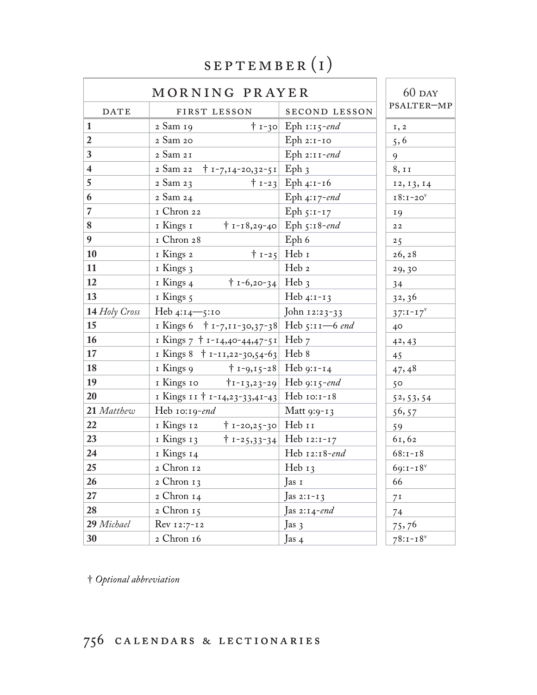#### september (i)

|                         | MORNING PRAYER                                          |                                                         | $60$ DAY        |
|-------------------------|---------------------------------------------------------|---------------------------------------------------------|-----------------|
| DATE                    | FIRST LESSON                                            | <b>SECOND LESSON</b>                                    | PSALTER-MP      |
| $\mathbf{1}$            | 2 Sam 19                                                | $\dagger$ 1-30 Eph 1:15-end                             | I, 2            |
| $\overline{2}$          | 2 Sam 20                                                | $Eph 2:1-IO$                                            | 5, 6            |
| $\mathbf{3}$            | 2 Sam 21                                                | Eph $2:11$ -end                                         | 9               |
| $\overline{\mathbf{4}}$ | $\uparrow$ 1-7,14-20,32-51 Eph 3<br>2 Sam 22            |                                                         | 8, 11           |
| $\overline{5}$          | 2 Sam 23                                                | $\mid$ 1-23 Eph 4:1-16                                  | 12, 13, 14      |
| 6                       | 2 Sam 24                                                | Eph 4:17-end                                            | $I8:I-20V$      |
| $\overline{7}$          | I Chron 22                                              | Eph $5:1-17$                                            | <b>19</b>       |
| $\bf 8$                 | 1 Kings 1                                               | $\dagger$ 1-18,29-40 Eph 5:18-end                       | 22              |
| $\boldsymbol{9}$        | I Chron 28                                              | Eph 6                                                   | 25              |
| 10                      | 1 Kings 2                                               | $\uparrow$ 1-25 Heb 1                                   | 26, 28          |
| 11                      | 1 Kings 3                                               | Heb 2                                                   | 29,30           |
| 12                      | $\dagger$ 1-6,20-34 Heb 3<br>1 Kings 4                  |                                                         | 34              |
| 13                      | 1 Kings 5                                               | Heb $4:1-13$                                            | 32,36           |
| 14 Holy Cross           | Heb $4:14 - 5:10$                                       | John 12:23-33                                           | $37:1 - 17^V$   |
| 15                      | I Kings 6 $\uparrow$ 1-7,11-30,37-38 Heb 5:11-6 end     |                                                         | 40 <sup>°</sup> |
| <b>16</b>               | I Kings 7 + 1-14,40-44,47-51 Heb 7                      |                                                         | 42, 43          |
| 17                      | I Kings $8 + I - II$ , 22-30, 54-63 Heb 8               |                                                         | 45              |
| <b>18</b>               | 1 Kings 9<br>† 1-9,15-28   Heb 9:1-14                   |                                                         | 47,48           |
| 19                      | 1 Kings 10                                              | $\text{H}_{1-\frac{1}{3},23-\frac{29}{1}}$ Heb 9:15-end | 50              |
| 20                      | I Kings $11 + 1 - 14, 23 - 33, 41 - 43$ Heb $10:1 - 18$ |                                                         | 52, 53, 54      |
| 21 Matthew              | Heb 10:19-end                                           | Matt 9:9-13                                             | 56, 57          |
| 22                      | † 1-20,25-30 Heb 11<br>1 Kings 12                       |                                                         | 59              |
| 23                      | 1 Kings 13                                              | $\dagger$ 1-25,33-34 Heb 12:1-17                        | 61,62           |
| 24                      | 1 Kings 14                                              | Heb 12:18-end                                           | $68:1 - 18$     |
| 25                      | 2 Chron 12                                              | Heb $13$                                                | $69:1 - 18$     |
| 26                      | 2 Chron 13                                              | Jas 1                                                   | 66              |
| 27                      | 2 Chron 14                                              | Jas 2:1-13                                              | 7 <sup>I</sup>  |
| 28                      | 2 Chron 15                                              | Jas 2:14-end                                            | 74              |
| 29 Michael              | Rev 12:7-12                                             | Jas $3$                                                 | 75,76           |
| 30                      | 2 Chron 16                                              | Jas 4                                                   | $78:1 - 18$     |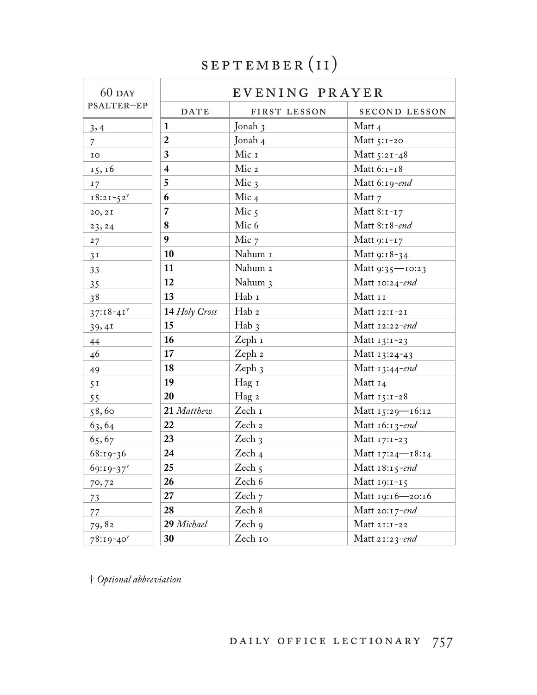## september (i i)

| $60$ DAY       | EVENING PRAYER          |                          |                   |
|----------------|-------------------------|--------------------------|-------------------|
| PSALTER-EP     | <b>DATE</b>             | FIRST LESSON             | SECOND LESSON     |
| 3,4            | $\mathbf{1}$            | Jonah 3                  | Matt 4            |
| $\overline{7}$ | $\overline{2}$          | Jonah 4                  | Matt $5:1-20$     |
| IO             | $\mathbf{3}$            | Mic 1                    | Matt 5:21-48      |
| 15, 16         | $\overline{\mathbf{4}}$ | Mic 2                    | Matt 6:1-18       |
| 17             | 5                       | Mic $3$                  | Matt 6:19-end     |
| $18:21 - 52^v$ | 6                       | Mic $4$                  | Matt 7            |
| 20, 2I         | $\overline{7}$          | Mic $5$                  | Matt $8:1-17$     |
| 23, 24         | 8                       | Mic 6                    | Matt 8:18-end     |
| 27             | 9                       | Mic 7                    | Matt $9:1-17$     |
| 3 <sup>T</sup> | 10                      | Nahum I                  | Matt 9:18-34      |
| 33             | 11                      | Nahum 2                  | Matt 9:35-10:23   |
| 35             | 12                      | Nahum 3                  | Matt 10:24-end    |
| 38             | 13                      | Hab I                    | Matt 11           |
| $37:18-41$     | 14 Holy Cross           | Hab 2                    | Matt 12:1-21      |
| 39,41          | 15                      | $Hab_3$                  | Matt 12:22-end    |
| 44             | 16                      | Zeph 1                   | Matt $13:1-23$    |
| 46             | 17                      | Zeph 2                   | Matt 13:24-43     |
| 49             | 18                      | Zeph 3                   | Matt $13:44$ -end |
| 5 <sup>T</sup> | 19                      | Hag 1                    | Matt 14           |
| 55             | <b>20</b>               | Hag 2                    | Matt $15:1-28$    |
| 58,60          | 21 Matthew              | Zech $\scriptstyle\rm I$ | Matt 15:29-16:12  |
| 63,64          | 22                      | Zech 2                   | Matt $16:13$ -end |
| 65,67          | 23                      | Zech $3$                 | Matt 17:1-23      |
| $68:19-36$     | $\sqrt{24}$             | Zech <sub>4</sub>        | Matt 17:24-18:14  |
| $69:19-37$     | 25                      | Zech $5$                 | Matt $18:15$ -end |
| 70,72          | 26                      | Zech 6                   | Matt 19:1-15      |
| 73             | 27                      | Zech 7                   | Matt 19:16-20:16  |
| 77             | 28                      | Zech 8                   | Matt 20:17-end    |
| 79,82          | 29 Michael              | Zech 9                   | Matt 21:1-22      |
| $78:19-40$     | 30                      | Zech 10                  | Matt 21:23-end    |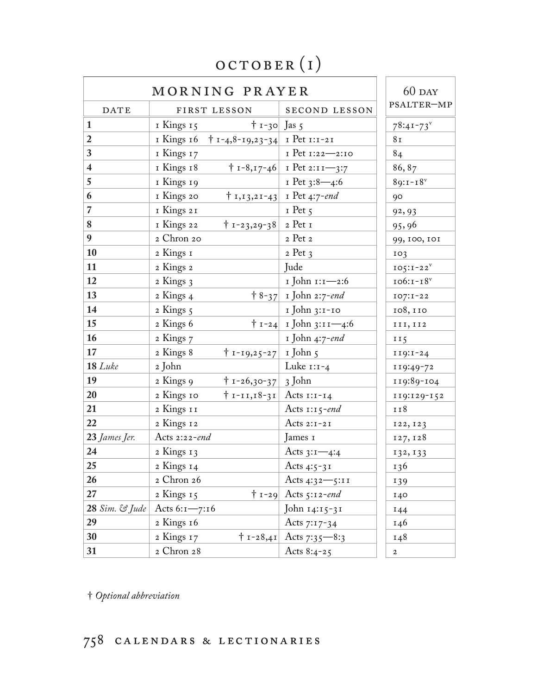# october (i)

| MORNING PRAYER                   |                                                   |                                       | $60$ DAY        |
|----------------------------------|---------------------------------------------------|---------------------------------------|-----------------|
| DATE                             | FIRST LESSON                                      | <b>SECOND LESSON</b>                  | PSALTER-MP      |
| $\mathbf{1}$                     | $\dagger$ 1-30 Jas 5<br>1 Kings 15                |                                       | $78:41 - 73$    |
| $\overline{2}$                   | I Kings 16 $\uparrow$ 1-4,8-19,23-34 I Pet 1:1-21 |                                       | 8 <sub>I</sub>  |
| $\mathbf{3}$                     | I Kings 17                                        | I Pet 1:22-2:10                       | 84              |
| $\overline{\mathbf{4}}$          | 1 Kings 18                                        | $\uparrow$ 1-8,17-46   1 Pet 2:11-3:7 | 86,87           |
| $\overline{5}$                   | 1 Kings 19                                        | I Pet 3:8-4:6                         | $89:1 - 18$     |
| 6                                | I Kings 20                                        | $\mid 1,13,21-43 \mid$ I Pet 4:7-end  | 90              |
| $\overline{7}$                   | 1 Kings 21                                        | $I$ Pet $\zeta$                       | 92, 93          |
| 8                                | I Kings 22<br>$\dagger$ 1-23,29-38 2 Pet 1        |                                       | 95,96           |
| 9                                | 2 Chron 20                                        | 2 Pet 2                               | 99, 100, 101    |
| $\vert$ 10                       | 2 Kings 1                                         | $2$ Pet $3$                           | IO <sub>3</sub> |
| $\vert$ 11                       | 2 Kings 2                                         | Jude                                  | $IO5:I-22v$     |
| <b>12</b>                        | 2 Kings 3                                         | 1 John 1:1-2:6                        | $106:1-18v$     |
| <b>13</b>                        | 2 Kings 4                                         | $\uparrow$ 8-37 I John 2:7-end        | $IO7: I-22$     |
| $\vert$ 14                       | 2 Kings 5                                         | 1 John 3:1-10                         | 108, 110        |
| $\vert$ 15                       | 2 Kings 6                                         | $\uparrow$ 1-24 I John 3:11-4:6       | III, II2        |
| <b>16</b>                        | 2 Kings 7                                         | 1 John 4:7-end                        | II <sub>5</sub> |
| <b>17</b>                        | 2 Kings 8<br>† 1-19,25-27   1 John 5              |                                       | $119:1-24$      |
| $18$ Luke                        | 2 John                                            | Luke $1:1-4$                          | 119:49-72       |
| $\vert$ 19                       | 2 Kings 9<br>$\uparrow$ 1-26,30-37 3 John         |                                       | 119:89-104      |
| 20                               | 2 Kings 10<br>$\dagger$ 1-11,18-31 Acts 1:1-14    |                                       | 119:129-152     |
| 21                               | 2 Kings 11                                        | Acts $1:15$ -end                      | 118             |
| 22                               | 2 Kings 12                                        | Acts $2:1-2I$                         | 122, 123        |
| 23 James Jer.                    | Acts 2:22-end                                     | James 1                               | 127, 128        |
| 24                               | 2 Kings 13                                        | Acts $3:1-4:4$                        | 132, 133        |
| 25                               | 2 Kings 14                                        | Acts 4:5-31                           | 136             |
| 26                               | 2 Chron 26                                        | Acts $4:32 - 5:11$                    | 139             |
| 27                               | 2 Kings 15                                        | $\dagger$ 1-29 Acts 5:12-end          | 140             |
| $28 \, Sim. \, \mathcal{C}$ Jude | Acts $6:1 - 7:16$                                 | John 14:15-31                         | 144             |
| 29                               | 2 Kings 16                                        | Acts $7:17-34$                        | 146             |
| 30                               | 2 Kings 17                                        | $\uparrow$ 1-28,41 Acts 7:35-8:3      | 148             |
| 31                               | 2 Chron 28                                        | Acts $8:4-25$                         | $\overline{a}$  |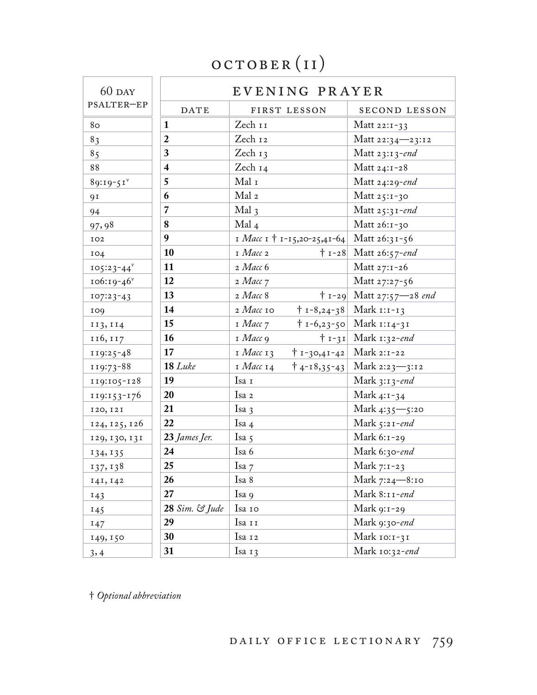### october (i i)

| $60$ DAY        | EVENING PRAYER          |                                                  |                                     |
|-----------------|-------------------------|--------------------------------------------------|-------------------------------------|
| PSALTER-EP      | <b>DATE</b>             | FIRST LESSON                                     | SECOND LESSON                       |
| 8 <sub>o</sub>  | $\mathbf{1}$            | Zech 11                                          | Matt $22:1-33$                      |
| 83              | $\overline{2}$          | Zech 12                                          | Matt 22:34-23:12                    |
| 85              | $\mathbf{3}$            | Zech $13$                                        | Matt $23:13$ -end                   |
| 88              | $\overline{\mathbf{4}}$ | Zech 14                                          | Matt $24:1-28$                      |
| $89:19-51$      | 5                       | Mal 1                                            | Matt 24:29-end                      |
| 91              | 6                       | Mal 2                                            | Matt 25:1-30                        |
| 94              | $\overline{7}$          | Mal <sub>3</sub>                                 | Matt $25:31$ -end                   |
| 97,98           | 8                       | Mal <sub>4</sub>                                 | Matt 26:1-30                        |
| IO2             | 9                       | I <i>Macc</i> I † 1-15,20-25,41-64 Matt 26:31-56 |                                     |
| IO4             | 10                      | $I$ <i>Macc</i> 2                                | $\dagger$ 1-28 Matt 26:57-end       |
| $105:23 - 44^v$ | $\vert$ 11              | $2$ <i>Macc</i> 6                                | Matt 27:1-26                        |
| $106:19-46$     | 12                      | 2 Macc 7                                         | Matt 27:27-56                       |
| $107:23-43$     | 13                      | $2$ <i>Macc</i> 8                                | $\dagger$ 1-29 Matt 27:57–28 end    |
| 109             | 14                      | 2 <i>Macc</i> 10                                 | $\dagger$ 1-8,24-38 Mark 1:1-13     |
| 113, 114        | 15                      | $I$ <i>Macc</i> $7$                              | † 1-6,23-50   Mark 1:14-31          |
| 116, 117        | 16                      | $I$ <i>Macc</i> 9                                | $\dagger$ 1-31 Mark 1:32-end        |
| 119:25-48       | 17                      | $I$ <i>Macc</i> $I$ 3                            | $\dagger$ 1-30,41-42 Mark 2:1-22    |
| 119:73-88       | $18$ Luke               | 1 Macc 14                                        | $\dagger$ 4-18,35-43 Mark 2:23-3:12 |
| 119:105-128     | 19                      | Isa I                                            | Mark $3:13$ -end                    |
| 119:153-176     | 20                      | Isa 2                                            | Mark $4:1-34$                       |
| 120, 121        | 21                      | Isa <sub>3</sub>                                 | Mark 4:35-5:20                      |
| 124, 125, 126   | <b>22</b>               | Isa 4                                            | Mark $5:21$ -end                    |
| 129, 130, 131   | 23 James Jer.           | Isa $5$                                          | Mark 6:1-29                         |
| 134, 135        | 24                      | Isa 6                                            | Mark 6:30-end                       |
| 137, 138        | 25                      | Isa 7                                            | Mark $7:1-23$                       |
| 141, 142        | 26                      | Isa 8                                            | Mark 7:24-8:10                      |
| 143             | 27                      | Isa 9                                            | Mark 8:11-end                       |
| 145             | 28 Sim. & Jude          | Isa 10                                           | Mark 9:1-29                         |
| 147             | 29                      | Isa 11                                           | Mark 9:30-end                       |
| 149, 150        | 30                      | Isa 12                                           | Mark 10:1-31                        |
| 3, 4            | 31                      | Isa 13                                           | Mark 10:32-end                      |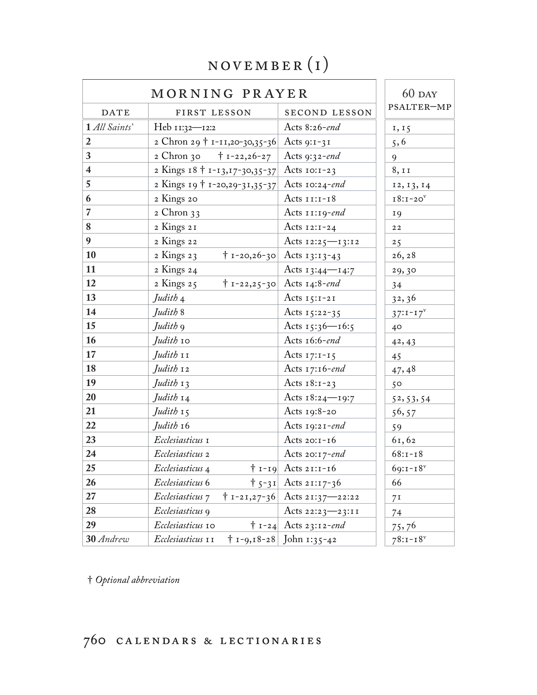#### november (i)

| MORNING PRAYER   |                                           |                                       | $60$ DAY       |
|------------------|-------------------------------------------|---------------------------------------|----------------|
| DATE             | FIRST LESSON                              | SECOND LESSON                         | PSALTER-MP     |
| 1 All Saints'    | Heb 11:32-12:2                            | Acts 8:26-end                         | 1, 15          |
| $\overline{2}$   | 2 Chron 29 † 1-11,20-30,35-36 Acts 9:1-31 |                                       | 5, 6           |
| $\mathbf{3}$     | 2 Chron 30<br>$\dagger$ 1-22,26-27        | Acts 9:32-end                         | 9              |
| $\overline{4}$   | 2 Kings 18 † 1-13,17-30,35-37             | Acts $10:1-23$                        | 8, 11          |
| $\overline{5}$   | 2 Kings 19 + 1-20,29-31,35-37             | Acts 10:24-end                        | 12, 13, 14     |
| 6                | 2 Kings 20                                | Acts $11:1-18$                        | $I8:I-20V$     |
| $\overline{7}$   | $2$ Chron $33$                            | Acts $11:19$ -end                     | <b>19</b>      |
| $\bf 8$          | 2 Kings 21                                | Acts $12:1-24$                        | 22             |
| $\boldsymbol{9}$ | 2 Kings 22                                | Acts $12:25$ - $13:12$                | 25             |
| <b>10</b>        | $2$ Kings $23$<br>$† 1 - 20, 26 - 30$     | Acts $13:13-43$                       | 26, 28         |
| $\vert$ 11       | 2 Kings 24                                | Acts $13:44$ - $14:7$                 | 29,30          |
| 12               | $† 1 - 22, 25 - 30$<br>2 Kings 25         | Acts $14:8$ -end                      | 34             |
| <b>13</b>        | Judith <sub>4</sub>                       | Acts $15:1-21$                        | 32,36          |
| $\vert$ 14       | Judith 8                                  | Acts $15:22-35$                       | $37:1 - 17^v$  |
| 15               | Judith <sub>9</sub>                       | Acts 15:36-16:5                       | 40             |
| <b>16</b>        | Judith 10                                 | Acts 16:6-end                         | 42, 43         |
| $\vert$ 17       | Judith 11                                 | Acts $17:1-15$                        | 45             |
| <b>18</b>        | $Judith$ 12                               | Acts $17:16$ -end                     | 47,48          |
| 19               | $Judith$ 13                               | Acts $18:1-23$                        | 50             |
| 20               | Judith 14                                 | Acts $18:24$ -19:7                    | 52, 53, 54     |
| 21               | Judith 15                                 | Acts $19:8-20$                        | 56, 57         |
| 22               | Judith 16                                 | Acts $19:21$ -end                     | 59             |
| 23               | Ecclesiasticus 1                          | Acts $20:1-16$                        | 61,62          |
| 24               | Ecclesiasticus 2                          | Acts 20:17-end                        | $68:1 - 18$    |
| 25               | Ecclesiasticus 4                          | $\dagger$ 1-19 Acts 21:1-16           | $69:1 - 18$    |
| 26               | Ecclesiasticus 6                          | $\uparrow$ 5-31 Acts 21:17-36         | 66             |
| 27               | Ecclesiasticus 7                          | $\dagger$ 1-21,27-36 Acts 21:37-22:22 | 7 <sup>I</sup> |
| 28               | Ecclesiasticus 9                          | Acts 22:23-23:11                      | 74             |
| 29               | Ecclesiasticus 10                         | $\dagger$ 1-24 Acts 23:12-end         | 75,76          |
| 30 Andrew        | Ecclesiasticus 11                         | $\dagger$ 1-9,18-28 John 1:35-42      | $78:1 - 18$    |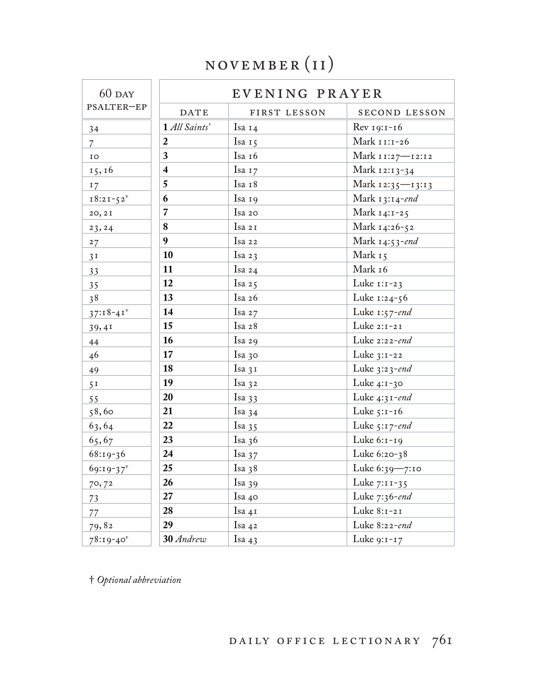### november (i i)

| $60$ DAY                |                  | EVENING PRAYER |                      |  |
|-------------------------|------------------|----------------|----------------------|--|
| PSALTER-EP              | <b>DATE</b>      | FIRST LESSON   | SECOND LESSON        |  |
| 34                      | 1 All Saints'    | Isa $14$       | $\text{Rev 19:1-16}$ |  |
| $\overline{7}$          | $\overline{2}$   | Isa 15         | Mark 11:1-26         |  |
| IO                      | 3                | Isa 16         | Mark 11:27—12:12     |  |
| 15, 16                  | $\boldsymbol{4}$ | Isa 17         | Mark 12:13-34        |  |
| 17                      | $5\overline{)}$  | Isa 18         | Mark 12:35—13:13     |  |
| $18:21-52^{\mathrm{v}}$ | 6                | Isa 19         | Mark $13:14$ -end    |  |
| 20, 2I                  | $\overline{7}$   | Isa 20         | Mark 14:1-25         |  |
| 23, 24                  | 8                | Isa 21         | Mark 14:26-52        |  |
| 27                      | 9                | Isa 22         | Mark 14:53-end       |  |
| 3 <sup>T</sup>          | 10               | Isa $23$       | Mark 15              |  |
| 33                      | <b>11</b>        | Isa 24         | Mark 16              |  |
| 35                      | 12               | Isa $25$       | Luke $1:1-23$        |  |
| 38                      | 13               | Isa 26         | Luke 1:24-56         |  |
| $37:18-41$              | <b>14</b>        | Isa $27$       | Luke $1:57$ -end     |  |
| 39,41                   | 15               | Isa 28         | Luke 2:1-21          |  |
| 44                      | 16               | Isa 29         | Luke 2:22-end        |  |
| 46                      | 17               | Isa 30         | Luke 3:1-22          |  |
| 49                      | 18               | Isa 31         | Luke $3:23$ -end     |  |
| 5 <sup>T</sup>          | 19               | Isa 32         | Luke 4:1-30          |  |
| 55                      | 20               | Isa $33$       | Luke $4:31$ -end     |  |
| 58,60                   | 21               | Isa $34$       | Luke 5:1-16          |  |
| 63,64                   | 22               | Isa $35$       | Luke $5:17$ -end     |  |
| 65,67                   | 23               | Isa $36$       | Luke 6:1-19          |  |
| $68:19-36$              | 24               | Isa $37$       | Luke 6:20-38         |  |
| $69:19-37$              | 25               | Isa $38$       | Luke 6:39-7:10       |  |
| 70,72                   | 26               | Isa $39$       | Luke 7:11-35         |  |
| 73                      | 27               | Isa 40         | Luke 7:36-end        |  |
| 77                      | 28               | Isa 41         | Luke 8:1-21          |  |
| 79,82                   | 29               | Isa 42         | Luke 8:22-end        |  |
| $78:19-40$              | 30 Andrew        | Isa 43         | Luke $9:1-17$        |  |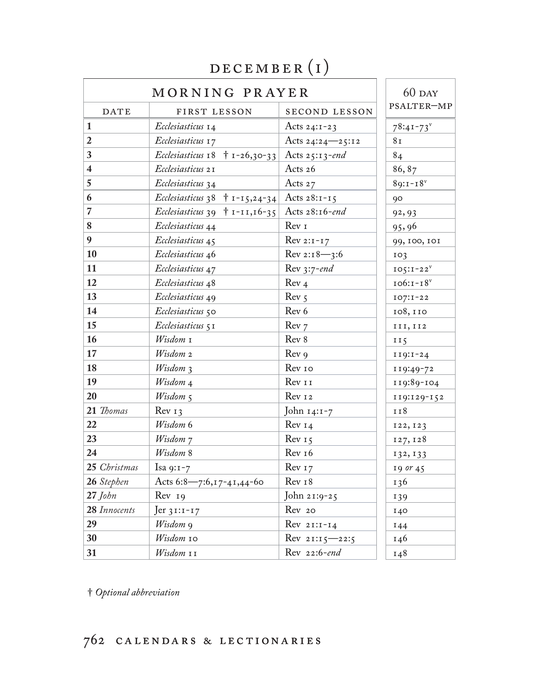| MORNING PRAYER          |                                                               |                            | $60$ DAY        |
|-------------------------|---------------------------------------------------------------|----------------------------|-----------------|
| DATE                    | FIRST LESSON                                                  | SECOND LESSON              | PSALTER-MP      |
|                         | Ecclesiasticus 14                                             | Acts 24:1-23               | $78:41 - 73$    |
| $\overline{2}$          | Ecclesiasticus 17                                             | Acts 24:24-25:12           | 8 <sub>I</sub>  |
| $\mathbf{3}$            | <i>Ecclesiasticus</i> $18 + 1 - 26,30 - 33$                   | Acts $25:13$ -end          | 84              |
| $\overline{\mathbf{4}}$ | Ecclesiasticus 21                                             | Acts 26                    | 86, 87          |
| $5\overline{)}$         | Ecclesiasticus 34                                             | Acts $27$                  | $89:1 - 18$     |
| 6                       | <i>Ecclesiasticus</i> 38 $\uparrow$ 1-15,24-34 Acts 28:1-15   |                            | 90              |
| $\overline{7}$          | <i>Ecclesiasticus</i> 39 $\uparrow$ 1-11,16-35 Acts 28:16-end |                            | 92, 93          |
| $\bf 8$                 | Ecclesiasticus 44                                             | Rev 1                      | 95,96           |
| 9                       | Ecclesiasticus 45                                             | $Rev 2: I-I 7$             | 99, 100, 101    |
| 10                      | Ecclesiasticus 46                                             | $\rm{Rev}\ 2:18 - 3:6$     | IO <sub>3</sub> |
| 11                      | Ecclesiasticus 47                                             | Rev $3:7$ -end             | $IO5:I-22V$     |
| 12                      | Ecclesiasticus 48                                             | Rev <sub>4</sub>           | $106:1-18v$     |
| 13                      | Ecclesiasticus 49                                             | Rev <sub>5</sub>           | $IO7: I-22$     |
| 14                      | Ecclesiasticus 50                                             | Rev 6                      | 108, 110        |
| 15                      | Ecclesiasticus 5 I                                            | Rev <sub>7</sub>           | III, II2        |
| 16                      | Wisdom 1                                                      | Rev 8                      | II <sub>5</sub> |
| 17                      | Wisdom 2                                                      | Rev 9                      | $119:1-24$      |
| 18                      | Wisdom 3                                                      | Rev 10                     | 119:49-72       |
| 19                      | Wisdom 4                                                      | Rev 11                     | 119:89-104      |
| 20                      | Wisdom 5                                                      | Rev 12                     | 119:129-152     |
| 21 Thomas               | $Rev_1$                                                       | John 14:1-7                | 118             |
| 22                      | Wisdom 6                                                      | Rev I4                     | 122, 123        |
| 23                      | Wisdom 7                                                      | Rev <sub>15</sub>          | 127, 128        |
| 24                      | Wisdom 8                                                      | Rev <sub>16</sub>          | 132, 133        |
| 25 Christmas            | Isa 9:1-7                                                     | Rev 17                     | $19$ or $45$    |
| 26 Stephen              | Acts 6:8-7:6,17-41,44-60                                      | Rev 18                     | 136             |
| $27$ John               | Rev <sub>19</sub>                                             | John 21:9-25               | 139             |
| 28 Innocents            | $Jer 31:1-17$                                                 | Rev 20                     | 140             |
| 29                      | Wisdom 9                                                      | $Rev 2I:I-I4$              | 144             |
| 30                      | Wisdom 10                                                     | $\text{Rev } 21:15 - 22:5$ | 146             |
| 31                      | Wisdom 11                                                     | Rev 22:6-end               | 148             |
|                         |                                                               |                            |                 |

#### december (i)